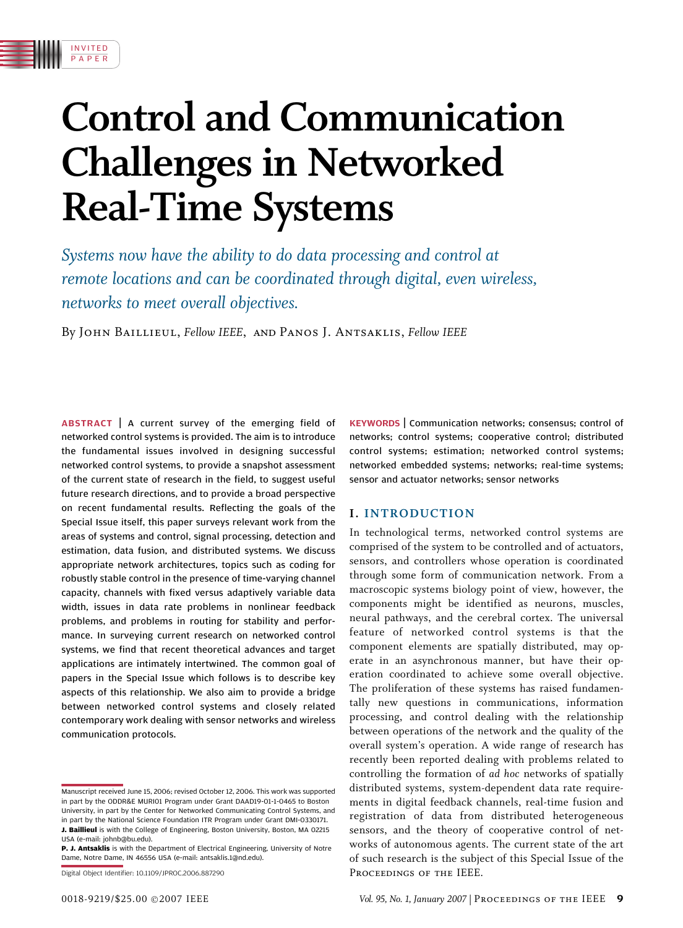# Control and Communication Challenges in Networked Real-Time Systems

Systems now have the ability to do data processing and control at remote locations and can be coordinated through digital, even wireless, networks to meet overall objectives.

By John Baillieul, Fellow IEEE, and Panos J. Antsaklis, Fellow IEEE

ABSTRACT | A current survey of the emerging field of networked control systems is provided. The aim is to introduce the fundamental issues involved in designing successful networked control systems, to provide a snapshot assessment of the current state of research in the field, to suggest useful future research directions, and to provide a broad perspective on recent fundamental results. Reflecting the goals of the Special Issue itself, this paper surveys relevant work from the areas of systems and control, signal processing, detection and estimation, data fusion, and distributed systems. We discuss appropriate network architectures, topics such as coding for robustly stable control in the presence of time-varying channel capacity, channels with fixed versus adaptively variable data width, issues in data rate problems in nonlinear feedback problems, and problems in routing for stability and performance. In surveying current research on networked control systems, we find that recent theoretical advances and target applications are intimately intertwined. The common goal of papers in the Special Issue which follows is to describe key aspects of this relationship. We also aim to provide a bridge between networked control systems and closely related contemporary work dealing with sensor networks and wireless communication protocols.

KEYWORDS | Communication networks; consensus; control of networks; control systems; cooperative control; distributed control systems; estimation; networked control systems; networked embedded systems; networks; real-time systems; sensor and actuator networks; sensor networks

### I. INTRODUCTION

In technological terms, networked control systems are comprised of the system to be controlled and of actuators, sensors, and controllers whose operation is coordinated through some form of communication network. From a macroscopic systems biology point of view, however, the components might be identified as neurons, muscles, neural pathways, and the cerebral cortex. The universal feature of networked control systems is that the component elements are spatially distributed, may operate in an asynchronous manner, but have their operation coordinated to achieve some overall objective. The proliferation of these systems has raised fundamentally new questions in communications, information processing, and control dealing with the relationship between operations of the network and the quality of the overall system's operation. A wide range of research has recently been reported dealing with problems related to controlling the formation of ad hoc networks of spatially distributed systems, system-dependent data rate requirements in digital feedback channels, real-time fusion and registration of data from distributed heterogeneous sensors, and the theory of cooperative control of networks of autonomous agents. The current state of the art of such research is the subject of this Special Issue of the PROCEEDINGS OF THE IEEE.

INVITED PAPER

Manuscript received June 15, 2006; revised October 12, 2006. This work was supported in part by the ODDR&E MURI01 Program under Grant DAAD19-01-1-0465 to Boston University, in part by the Center for Networked Communicating Control Systems, and in part by the National Science Foundation ITR Program under Grant DMI-0330171. J. Baillieul is with the College of Engineering, Boston University, Boston, MA 02215 USA (e-mail: johnb@bu.edu).

P. J. Antsaklis is with the Department of Electrical Engineering, University of Notre Dame, Notre Dame, IN 46556 USA (e-mail: antsaklis.1@nd.edu).

Digital Object Identifier: 10.1109/JPROC.2006.887290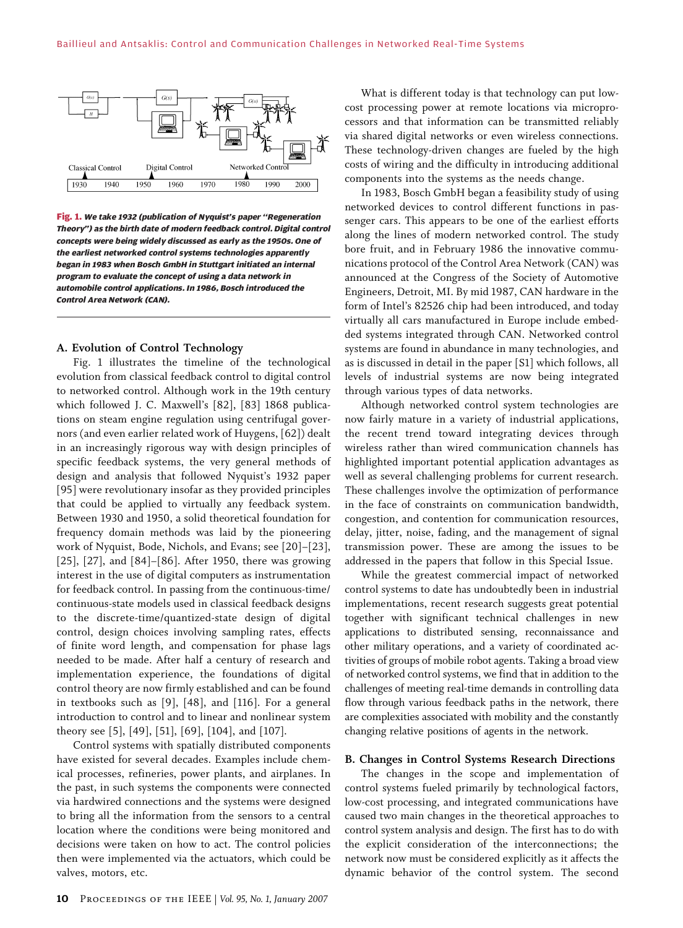

Fig. 1. We take 1932 (publication of Nyquist's paper ''Regeneration Theory'') as the birth date of modern feedback control. Digital control concepts were being widely discussed as early as the 1950s. One of the earliest networked control systems technologies apparently began in 1983 when Bosch GmbH in Stuttgart initiated an internal program to evaluate the concept of using a data network in automobile control applications. In 1986, Bosch introduced the Control Area Network (CAN).

#### A. Evolution of Control Technology

Fig. 1 illustrates the timeline of the technological evolution from classical feedback control to digital control to networked control. Although work in the 19th century which followed J. C. Maxwell's [82], [83] 1868 publications on steam engine regulation using centrifugal governors (and even earlier related work of Huygens, [62]) dealt in an increasingly rigorous way with design principles of specific feedback systems, the very general methods of design and analysis that followed Nyquist's 1932 paper [95] were revolutionary insofar as they provided principles that could be applied to virtually any feedback system. Between 1930 and 1950, a solid theoretical foundation for frequency domain methods was laid by the pioneering work of Nyquist, Bode, Nichols, and Evans; see [20]–[23], [25], [27], and [84]–[86]. After 1950, there was growing interest in the use of digital computers as instrumentation for feedback control. In passing from the continuous-time/ continuous-state models used in classical feedback designs to the discrete-time/quantized-state design of digital control, design choices involving sampling rates, effects of finite word length, and compensation for phase lags needed to be made. After half a century of research and implementation experience, the foundations of digital control theory are now firmly established and can be found in textbooks such as [9], [48], and [116]. For a general introduction to control and to linear and nonlinear system theory see [5], [49], [51], [69], [104], and [107].

Control systems with spatially distributed components have existed for several decades. Examples include chemical processes, refineries, power plants, and airplanes. In the past, in such systems the components were connected via hardwired connections and the systems were designed to bring all the information from the sensors to a central location where the conditions were being monitored and decisions were taken on how to act. The control policies then were implemented via the actuators, which could be valves, motors, etc.

What is different today is that technology can put lowcost processing power at remote locations via microprocessors and that information can be transmitted reliably via shared digital networks or even wireless connections. These technology-driven changes are fueled by the high costs of wiring and the difficulty in introducing additional components into the systems as the needs change.

In 1983, Bosch GmbH began a feasibility study of using networked devices to control different functions in passenger cars. This appears to be one of the earliest efforts along the lines of modern networked control. The study bore fruit, and in February 1986 the innovative communications protocol of the Control Area Network (CAN) was announced at the Congress of the Society of Automotive Engineers, Detroit, MI. By mid 1987, CAN hardware in the form of Intel's 82526 chip had been introduced, and today virtually all cars manufactured in Europe include embedded systems integrated through CAN. Networked control systems are found in abundance in many technologies, and as is discussed in detail in the paper [S1] which follows, all levels of industrial systems are now being integrated through various types of data networks.

Although networked control system technologies are now fairly mature in a variety of industrial applications, the recent trend toward integrating devices through wireless rather than wired communication channels has highlighted important potential application advantages as well as several challenging problems for current research. These challenges involve the optimization of performance in the face of constraints on communication bandwidth, congestion, and contention for communication resources, delay, jitter, noise, fading, and the management of signal transmission power. These are among the issues to be addressed in the papers that follow in this Special Issue.

While the greatest commercial impact of networked control systems to date has undoubtedly been in industrial implementations, recent research suggests great potential together with significant technical challenges in new applications to distributed sensing, reconnaissance and other military operations, and a variety of coordinated activities of groups of mobile robot agents. Taking a broad view of networked control systems, we find that in addition to the challenges of meeting real-time demands in controlling data flow through various feedback paths in the network, there are complexities associated with mobility and the constantly changing relative positions of agents in the network.

#### B. Changes in Control Systems Research Directions

The changes in the scope and implementation of control systems fueled primarily by technological factors, low-cost processing, and integrated communications have caused two main changes in the theoretical approaches to control system analysis and design. The first has to do with the explicit consideration of the interconnections; the network now must be considered explicitly as it affects the dynamic behavior of the control system. The second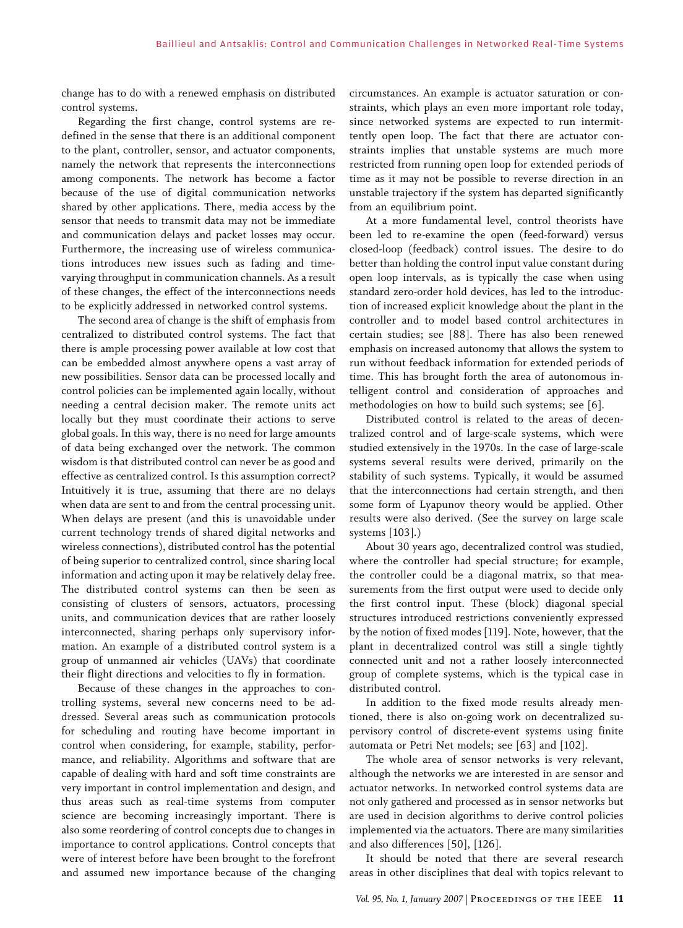change has to do with a renewed emphasis on distributed control systems.

Regarding the first change, control systems are redefined in the sense that there is an additional component to the plant, controller, sensor, and actuator components, namely the network that represents the interconnections among components. The network has become a factor because of the use of digital communication networks shared by other applications. There, media access by the sensor that needs to transmit data may not be immediate and communication delays and packet losses may occur. Furthermore, the increasing use of wireless communications introduces new issues such as fading and timevarying throughput in communication channels. As a result of these changes, the effect of the interconnections needs to be explicitly addressed in networked control systems.

The second area of change is the shift of emphasis from centralized to distributed control systems. The fact that there is ample processing power available at low cost that can be embedded almost anywhere opens a vast array of new possibilities. Sensor data can be processed locally and control policies can be implemented again locally, without needing a central decision maker. The remote units act locally but they must coordinate their actions to serve global goals. In this way, there is no need for large amounts of data being exchanged over the network. The common wisdom is that distributed control can never be as good and effective as centralized control. Is this assumption correct? Intuitively it is true, assuming that there are no delays when data are sent to and from the central processing unit. When delays are present (and this is unavoidable under current technology trends of shared digital networks and wireless connections), distributed control has the potential of being superior to centralized control, since sharing local information and acting upon it may be relatively delay free. The distributed control systems can then be seen as consisting of clusters of sensors, actuators, processing units, and communication devices that are rather loosely interconnected, sharing perhaps only supervisory information. An example of a distributed control system is a group of unmanned air vehicles (UAVs) that coordinate their flight directions and velocities to fly in formation.

Because of these changes in the approaches to controlling systems, several new concerns need to be addressed. Several areas such as communication protocols for scheduling and routing have become important in control when considering, for example, stability, performance, and reliability. Algorithms and software that are capable of dealing with hard and soft time constraints are very important in control implementation and design, and thus areas such as real-time systems from computer science are becoming increasingly important. There is also some reordering of control concepts due to changes in importance to control applications. Control concepts that were of interest before have been brought to the forefront and assumed new importance because of the changing circumstances. An example is actuator saturation or constraints, which plays an even more important role today, since networked systems are expected to run intermittently open loop. The fact that there are actuator constraints implies that unstable systems are much more restricted from running open loop for extended periods of time as it may not be possible to reverse direction in an unstable trajectory if the system has departed significantly from an equilibrium point.

At a more fundamental level, control theorists have been led to re-examine the open (feed-forward) versus closed-loop (feedback) control issues. The desire to do better than holding the control input value constant during open loop intervals, as is typically the case when using standard zero-order hold devices, has led to the introduction of increased explicit knowledge about the plant in the controller and to model based control architectures in certain studies; see [88]. There has also been renewed emphasis on increased autonomy that allows the system to run without feedback information for extended periods of time. This has brought forth the area of autonomous intelligent control and consideration of approaches and methodologies on how to build such systems; see [6].

Distributed control is related to the areas of decentralized control and of large-scale systems, which were studied extensively in the 1970s. In the case of large-scale systems several results were derived, primarily on the stability of such systems. Typically, it would be assumed that the interconnections had certain strength, and then some form of Lyapunov theory would be applied. Other results were also derived. (See the survey on large scale systems [103].)

About 30 years ago, decentralized control was studied, where the controller had special structure; for example, the controller could be a diagonal matrix, so that measurements from the first output were used to decide only the first control input. These (block) diagonal special structures introduced restrictions conveniently expressed by the notion of fixed modes [119]. Note, however, that the plant in decentralized control was still a single tightly connected unit and not a rather loosely interconnected group of complete systems, which is the typical case in distributed control.

In addition to the fixed mode results already mentioned, there is also on-going work on decentralized supervisory control of discrete-event systems using finite automata or Petri Net models; see [63] and [102].

The whole area of sensor networks is very relevant, although the networks we are interested in are sensor and actuator networks. In networked control systems data are not only gathered and processed as in sensor networks but are used in decision algorithms to derive control policies implemented via the actuators. There are many similarities and also differences [50], [126].

It should be noted that there are several research areas in other disciplines that deal with topics relevant to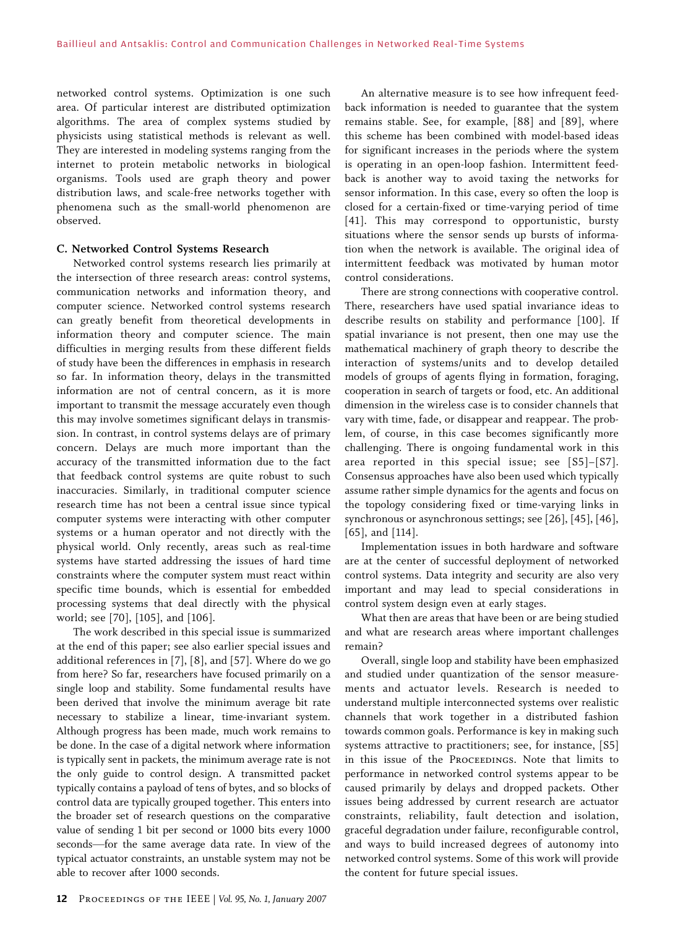networked control systems. Optimization is one such area. Of particular interest are distributed optimization algorithms. The area of complex systems studied by physicists using statistical methods is relevant as well. They are interested in modeling systems ranging from the internet to protein metabolic networks in biological organisms. Tools used are graph theory and power distribution laws, and scale-free networks together with phenomena such as the small-world phenomenon are observed.

## C. Networked Control Systems Research

Networked control systems research lies primarily at the intersection of three research areas: control systems, communication networks and information theory, and computer science. Networked control systems research can greatly benefit from theoretical developments in information theory and computer science. The main difficulties in merging results from these different fields of study have been the differences in emphasis in research so far. In information theory, delays in the transmitted information are not of central concern, as it is more important to transmit the message accurately even though this may involve sometimes significant delays in transmission. In contrast, in control systems delays are of primary concern. Delays are much more important than the accuracy of the transmitted information due to the fact that feedback control systems are quite robust to such inaccuracies. Similarly, in traditional computer science research time has not been a central issue since typical computer systems were interacting with other computer systems or a human operator and not directly with the physical world. Only recently, areas such as real-time systems have started addressing the issues of hard time constraints where the computer system must react within specific time bounds, which is essential for embedded processing systems that deal directly with the physical world; see [70], [105], and [106].

The work described in this special issue is summarized at the end of this paper; see also earlier special issues and additional references in [7], [8], and [57]. Where do we go from here? So far, researchers have focused primarily on a single loop and stability. Some fundamental results have been derived that involve the minimum average bit rate necessary to stabilize a linear, time-invariant system. Although progress has been made, much work remains to be done. In the case of a digital network where information is typically sent in packets, the minimum average rate is not the only guide to control design. A transmitted packet typically contains a payload of tens of bytes, and so blocks of control data are typically grouped together. This enters into the broader set of research questions on the comparative value of sending 1 bit per second or 1000 bits every 1000 seconds-for the same average data rate. In view of the typical actuator constraints, an unstable system may not be able to recover after 1000 seconds.

An alternative measure is to see how infrequent feedback information is needed to guarantee that the system remains stable. See, for example, [88] and [89], where this scheme has been combined with model-based ideas for significant increases in the periods where the system is operating in an open-loop fashion. Intermittent feedback is another way to avoid taxing the networks for sensor information. In this case, every so often the loop is closed for a certain-fixed or time-varying period of time [41]. This may correspond to opportunistic, bursty situations where the sensor sends up bursts of information when the network is available. The original idea of intermittent feedback was motivated by human motor control considerations.

There are strong connections with cooperative control. There, researchers have used spatial invariance ideas to describe results on stability and performance [100]. If spatial invariance is not present, then one may use the mathematical machinery of graph theory to describe the interaction of systems/units and to develop detailed models of groups of agents flying in formation, foraging, cooperation in search of targets or food, etc. An additional dimension in the wireless case is to consider channels that vary with time, fade, or disappear and reappear. The problem, of course, in this case becomes significantly more challenging. There is ongoing fundamental work in this area reported in this special issue; see [S5]–[S7]. Consensus approaches have also been used which typically assume rather simple dynamics for the agents and focus on the topology considering fixed or time-varying links in synchronous or asynchronous settings; see [26], [45], [46], [65], and [114].

Implementation issues in both hardware and software are at the center of successful deployment of networked control systems. Data integrity and security are also very important and may lead to special considerations in control system design even at early stages.

What then are areas that have been or are being studied and what are research areas where important challenges remain?

Overall, single loop and stability have been emphasized and studied under quantization of the sensor measurements and actuator levels. Research is needed to understand multiple interconnected systems over realistic channels that work together in a distributed fashion towards common goals. Performance is key in making such systems attractive to practitioners; see, for instance, [S5] in this issue of the PROCEEDINGS. Note that limits to performance in networked control systems appear to be caused primarily by delays and dropped packets. Other issues being addressed by current research are actuator constraints, reliability, fault detection and isolation, graceful degradation under failure, reconfigurable control, and ways to build increased degrees of autonomy into networked control systems. Some of this work will provide the content for future special issues.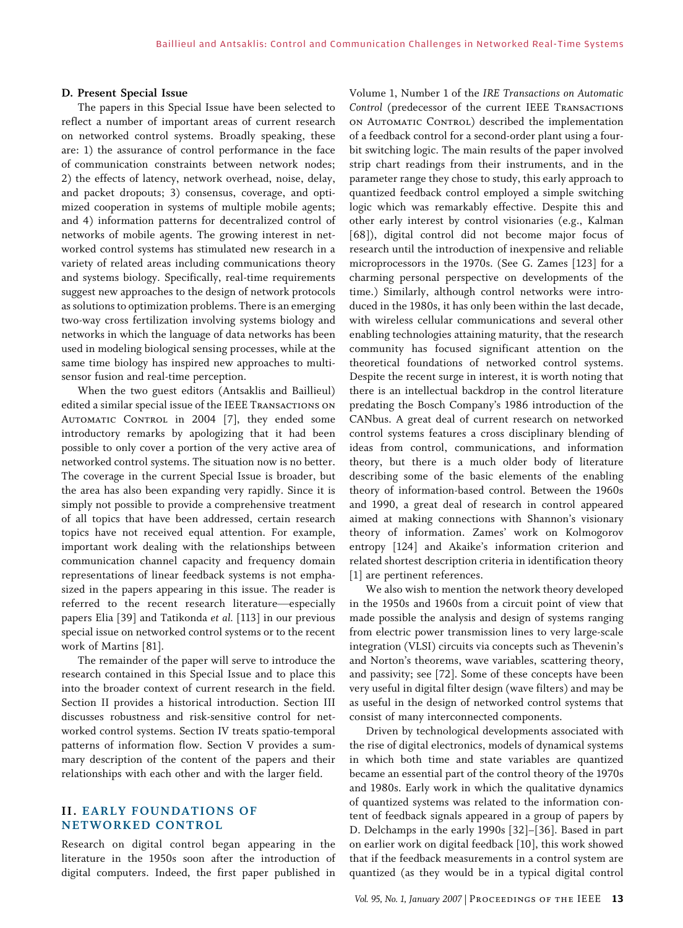#### D. Present Special Issue

The papers in this Special Issue have been selected to reflect a number of important areas of current research on networked control systems. Broadly speaking, these are: 1) the assurance of control performance in the face of communication constraints between network nodes; 2) the effects of latency, network overhead, noise, delay, and packet dropouts; 3) consensus, coverage, and optimized cooperation in systems of multiple mobile agents; and 4) information patterns for decentralized control of networks of mobile agents. The growing interest in networked control systems has stimulated new research in a variety of related areas including communications theory and systems biology. Specifically, real-time requirements suggest new approaches to the design of network protocols as solutions to optimization problems. There is an emerging two-way cross fertilization involving systems biology and networks in which the language of data networks has been used in modeling biological sensing processes, while at the same time biology has inspired new approaches to multisensor fusion and real-time perception.

When the two guest editors (Antsaklis and Baillieul) edited a similar special issue of the IEEE TRANSACTIONS ON AUTOMATIC CONTROL in 2004 [7], they ended some introductory remarks by apologizing that it had been possible to only cover a portion of the very active area of networked control systems. The situation now is no better. The coverage in the current Special Issue is broader, but the area has also been expanding very rapidly. Since it is simply not possible to provide a comprehensive treatment of all topics that have been addressed, certain research topics have not received equal attention. For example, important work dealing with the relationships between communication channel capacity and frequency domain representations of linear feedback systems is not emphasized in the papers appearing in this issue. The reader is referred to the recent research literature-especially papers Elia [39] and Tatikonda et al. [113] in our previous special issue on networked control systems or to the recent work of Martins [81].

The remainder of the paper will serve to introduce the research contained in this Special Issue and to place this into the broader context of current research in the field. Section II provides a historical introduction. Section III discusses robustness and risk-sensitive control for networked control systems. Section IV treats spatio-temporal patterns of information flow. Section V provides a summary description of the content of the papers and their relationships with each other and with the larger field.

## II. EARLY FOUNDATIONS OF NETWORKED CONTROL

Research on digital control began appearing in the literature in the 1950s soon after the introduction of digital computers. Indeed, the first paper published in Volume 1, Number 1 of the IRE Transactions on Automatic Control (predecessor of the current IEEE TRANSACTIONS on Automatic Control) described the implementation of a feedback control for a second-order plant using a fourbit switching logic. The main results of the paper involved strip chart readings from their instruments, and in the parameter range they chose to study, this early approach to quantized feedback control employed a simple switching logic which was remarkably effective. Despite this and other early interest by control visionaries (e.g., Kalman [68]), digital control did not become major focus of research until the introduction of inexpensive and reliable microprocessors in the 1970s. (See G. Zames [123] for a charming personal perspective on developments of the time.) Similarly, although control networks were introduced in the 1980s, it has only been within the last decade, with wireless cellular communications and several other enabling technologies attaining maturity, that the research community has focused significant attention on the theoretical foundations of networked control systems. Despite the recent surge in interest, it is worth noting that there is an intellectual backdrop in the control literature predating the Bosch Company's 1986 introduction of the CANbus. A great deal of current research on networked control systems features a cross disciplinary blending of ideas from control, communications, and information theory, but there is a much older body of literature describing some of the basic elements of the enabling theory of information-based control. Between the 1960s and 1990, a great deal of research in control appeared aimed at making connections with Shannon's visionary theory of information. Zames' work on Kolmogorov entropy [124] and Akaike's information criterion and related shortest description criteria in identification theory [1] are pertinent references.

We also wish to mention the network theory developed in the 1950s and 1960s from a circuit point of view that made possible the analysis and design of systems ranging from electric power transmission lines to very large-scale integration (VLSI) circuits via concepts such as Thevenin's and Norton's theorems, wave variables, scattering theory, and passivity; see [72]. Some of these concepts have been very useful in digital filter design (wave filters) and may be as useful in the design of networked control systems that consist of many interconnected components.

Driven by technological developments associated with the rise of digital electronics, models of dynamical systems in which both time and state variables are quantized became an essential part of the control theory of the 1970s and 1980s. Early work in which the qualitative dynamics of quantized systems was related to the information content of feedback signals appeared in a group of papers by D. Delchamps in the early 1990s [32]–[36]. Based in part on earlier work on digital feedback [10], this work showed that if the feedback measurements in a control system are quantized (as they would be in a typical digital control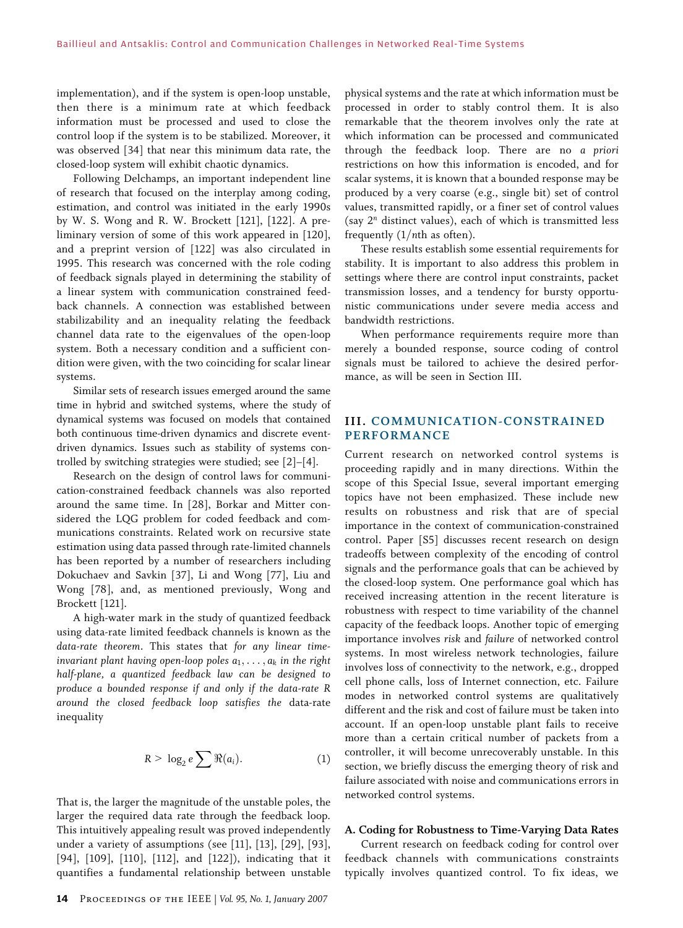implementation), and if the system is open-loop unstable, then there is a minimum rate at which feedback information must be processed and used to close the control loop if the system is to be stabilized. Moreover, it was observed [34] that near this minimum data rate, the closed-loop system will exhibit chaotic dynamics.

Following Delchamps, an important independent line of research that focused on the interplay among coding, estimation, and control was initiated in the early 1990s by W. S. Wong and R. W. Brockett [121], [122]. A preliminary version of some of this work appeared in [120], and a preprint version of [122] was also circulated in 1995. This research was concerned with the role coding of feedback signals played in determining the stability of a linear system with communication constrained feedback channels. A connection was established between stabilizability and an inequality relating the feedback channel data rate to the eigenvalues of the open-loop system. Both a necessary condition and a sufficient condition were given, with the two coinciding for scalar linear systems.

Similar sets of research issues emerged around the same time in hybrid and switched systems, where the study of dynamical systems was focused on models that contained both continuous time-driven dynamics and discrete eventdriven dynamics. Issues such as stability of systems controlled by switching strategies were studied; see [2]–[4].

Research on the design of control laws for communication-constrained feedback channels was also reported around the same time. In [28], Borkar and Mitter considered the LQG problem for coded feedback and communications constraints. Related work on recursive state estimation using data passed through rate-limited channels has been reported by a number of researchers including Dokuchaev and Savkin [37], Li and Wong [77], Liu and Wong [78], and, as mentioned previously, Wong and Brockett [121].

A high-water mark in the study of quantized feedback using data-rate limited feedback channels is known as the data-rate theorem. This states that for any linear timeinvariant plant having open-loop poles  $a_1, \ldots, a_k$  in the right half-plane, a quantized feedback law can be designed to produce a bounded response if and only if the data-rate R around the closed feedback loop satisfies the data-rate inequality

$$
R > \log_2 e \sum \Re(a_i). \tag{1}
$$

That is, the larger the magnitude of the unstable poles, the larger the required data rate through the feedback loop. This intuitively appealing result was proved independently under a variety of assumptions (see [11], [13], [29], [93], [94], [109], [110], [112], and [122]), indicating that it quantifies a fundamental relationship between unstable

physical systems and the rate at which information must be processed in order to stably control them. It is also remarkable that the theorem involves only the rate at which information can be processed and communicated through the feedback loop. There are no a priori restrictions on how this information is encoded, and for scalar systems, it is known that a bounded response may be produced by a very coarse (e.g., single bit) set of control values, transmitted rapidly, or a finer set of control values (say  $2^n$  distinct values), each of which is transmitted less frequently  $(1/nth$  as often).

These results establish some essential requirements for stability. It is important to also address this problem in settings where there are control input constraints, packet transmission losses, and a tendency for bursty opportunistic communications under severe media access and bandwidth restrictions.

When performance requirements require more than merely a bounded response, source coding of control signals must be tailored to achieve the desired performance, as will be seen in Section III.

# III. COMMUNICATION-CONSTRAINED PERFORMANCE

Current research on networked control systems is proceeding rapidly and in many directions. Within the scope of this Special Issue, several important emerging topics have not been emphasized. These include new results on robustness and risk that are of special importance in the context of communication-constrained control. Paper [S5] discusses recent research on design tradeoffs between complexity of the encoding of control signals and the performance goals that can be achieved by the closed-loop system. One performance goal which has received increasing attention in the recent literature is robustness with respect to time variability of the channel capacity of the feedback loops. Another topic of emerging importance involves risk and failure of networked control systems. In most wireless network technologies, failure involves loss of connectivity to the network, e.g., dropped cell phone calls, loss of Internet connection, etc. Failure modes in networked control systems are qualitatively different and the risk and cost of failure must be taken into account. If an open-loop unstable plant fails to receive more than a certain critical number of packets from a controller, it will become unrecoverably unstable. In this section, we briefly discuss the emerging theory of risk and failure associated with noise and communications errors in networked control systems.

#### A. Coding for Robustness to Time-Varying Data Rates

Current research on feedback coding for control over feedback channels with communications constraints typically involves quantized control. To fix ideas, we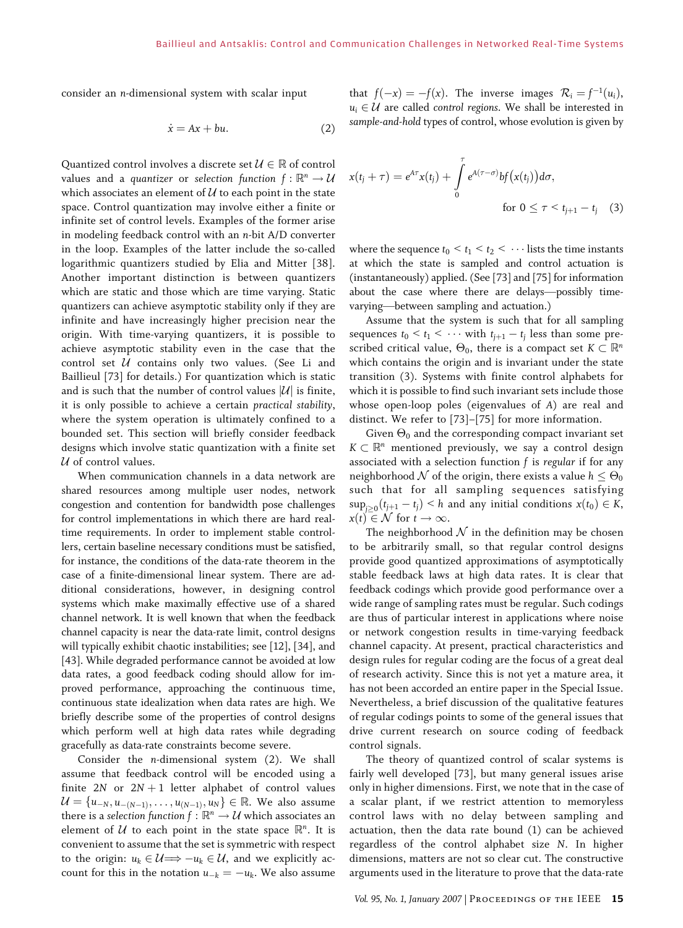consider an n-dimensional system with scalar input

$$
\dot{x} = Ax + bu. \tag{2}
$$

Quantized control involves a discrete set  $\mathcal{U} \in \mathbb{R}$  of control values and a quantizer or selection function  $f : \mathbb{R}^n \to \mathcal{U}$ which associates an element of  $U$  to each point in the state space. Control quantization may involve either a finite or infinite set of control levels. Examples of the former arise in modeling feedback control with an n-bit A/D converter in the loop. Examples of the latter include the so-called logarithmic quantizers studied by Elia and Mitter [38]. Another important distinction is between quantizers which are static and those which are time varying. Static quantizers can achieve asymptotic stability only if they are infinite and have increasingly higher precision near the origin. With time-varying quantizers, it is possible to achieve asymptotic stability even in the case that the control set  $U$  contains only two values. (See Li and Baillieul [73] for details.) For quantization which is static and is such that the number of control values  $|\mathcal{U}|$  is finite, it is only possible to achieve a certain practical stability, where the system operation is ultimately confined to a bounded set. This section will briefly consider feedback designs which involve static quantization with a finite set  $U$  of control values.

When communication channels in a data network are shared resources among multiple user nodes, network congestion and contention for bandwidth pose challenges for control implementations in which there are hard realtime requirements. In order to implement stable controllers, certain baseline necessary conditions must be satisfied, for instance, the conditions of the data-rate theorem in the case of a finite-dimensional linear system. There are additional considerations, however, in designing control systems which make maximally effective use of a shared channel network. It is well known that when the feedback channel capacity is near the data-rate limit, control designs will typically exhibit chaotic instabilities; see [12], [34], and [43]. While degraded performance cannot be avoided at low data rates, a good feedback coding should allow for improved performance, approaching the continuous time, continuous state idealization when data rates are high. We briefly describe some of the properties of control designs which perform well at high data rates while degrading gracefully as data-rate constraints become severe.

Consider the n-dimensional system (2). We shall assume that feedback control will be encoded using a finite 2N or  $2N + 1$  letter alphabet of control values  $U = {u_{-N}, u_{-(N-1)}, \ldots, u_{(N-1)}, u_N} \in \mathbb{R}$ . We also assume there is a selection function  $f : \mathbb{R}^n \to U$  which associates an element of  $U$  to each point in the state space  $\mathbb{R}^n$ . It is convenient to assume that the set is symmetric with respect to the origin:  $u_k \in \mathcal{U} \Longrightarrow -u_k \in \mathcal{U}$ , and we explicitly account for this in the notation  $u_{-k} = -u_k$ . We also assume

that  $f(-x) = -f(x)$ . The inverse images  $\mathcal{R}_i = f^{-1}(u_i)$ ,  $u_i \in \mathcal{U}$  are called control regions. We shall be interested in sample-and-hold types of control, whose evolution is given by

$$
x(t_j + \tau) = e^{A\tau}x(t_j) + \int_0^{\tau} e^{A(\tau - \sigma)}bf(x(t_j))d\sigma,
$$
  
for  $0 \le \tau < t_{j+1} - t_j$  (3)

where the sequence  $t_0 < t_1 < t_2 < \cdots$  lists the time instants at which the state is sampled and control actuation is (instantaneously) applied. (See [73] and [75] for information about the case where there are delays-possibly timevarying—between sampling and actuation.)

Assume that the system is such that for all sampling sequences  $t_0 \le t_1 \le \cdots$  with  $t_{j+1} - t_j$  less than some prescribed critical value,  $\Theta_0$ , there is a compact set  $K \subset \mathbb{R}^n$ which contains the origin and is invariant under the state transition (3). Systems with finite control alphabets for which it is possible to find such invariant sets include those whose open-loop poles (eigenvalues of A) are real and distinct. We refer to [73]–[75] for more information.

Given  $\Theta_0$  and the corresponding compact invariant set  $K \subset \mathbb{R}^n$  mentioned previously, we say a control design associated with a selection function  $f$  is regular if for any neighborhood  $\mathcal N$  of the origin, there exists a value  $h \leq \Theta_0$ such that for all sampling sequences satisfying  $\sup_{i>0}(t_{j+1}-t_j) \leq h$  and any initial conditions  $x(t_0) \in K$ ,  $x(t) \in \mathcal{N}$  for  $t \to \infty$ .

The neighborhood  $N$  in the definition may be chosen to be arbitrarily small, so that regular control designs provide good quantized approximations of asymptotically stable feedback laws at high data rates. It is clear that feedback codings which provide good performance over a wide range of sampling rates must be regular. Such codings are thus of particular interest in applications where noise or network congestion results in time-varying feedback channel capacity. At present, practical characteristics and design rules for regular coding are the focus of a great deal of research activity. Since this is not yet a mature area, it has not been accorded an entire paper in the Special Issue. Nevertheless, a brief discussion of the qualitative features of regular codings points to some of the general issues that drive current research on source coding of feedback control signals.

The theory of quantized control of scalar systems is fairly well developed [73], but many general issues arise only in higher dimensions. First, we note that in the case of a scalar plant, if we restrict attention to memoryless control laws with no delay between sampling and actuation, then the data rate bound (1) can be achieved regardless of the control alphabet size N. In higher dimensions, matters are not so clear cut. The constructive arguments used in the literature to prove that the data-rate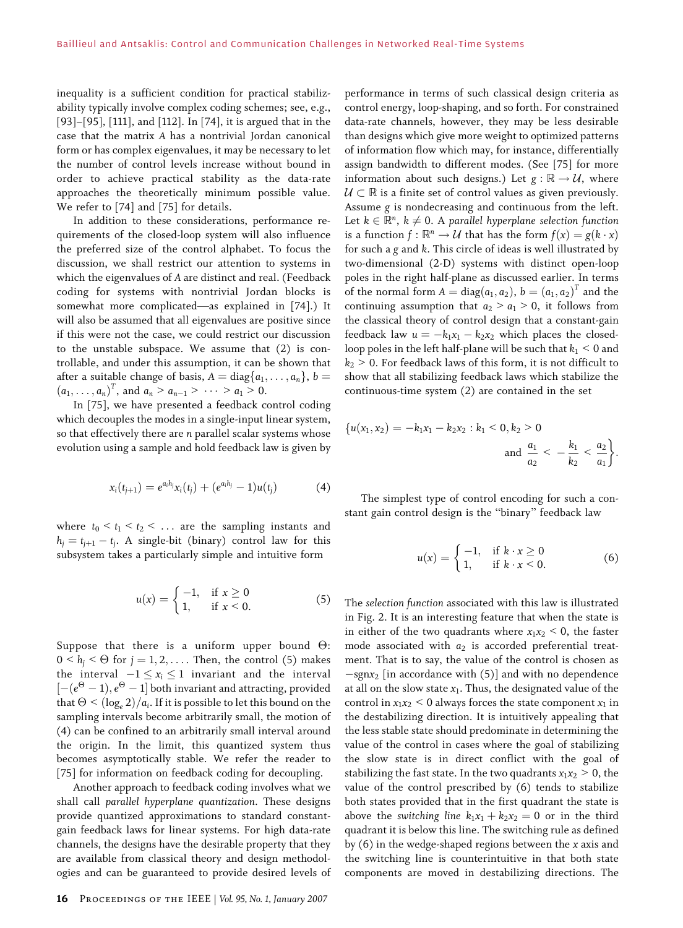inequality is a sufficient condition for practical stabilizability typically involve complex coding schemes; see, e.g., [93]–[95], [111], and [112]. In [74], it is argued that in the case that the matrix A has a nontrivial Jordan canonical form or has complex eigenvalues, it may be necessary to let the number of control levels increase without bound in order to achieve practical stability as the data-rate approaches the theoretically minimum possible value. We refer to [74] and [75] for details.

In addition to these considerations, performance requirements of the closed-loop system will also influence the preferred size of the control alphabet. To focus the discussion, we shall restrict our attention to systems in which the eigenvalues of A are distinct and real. (Feedback coding for systems with nontrivial Jordan blocks is somewhat more complicated—as explained in  $[74]$ .) It will also be assumed that all eigenvalues are positive since if this were not the case, we could restrict our discussion to the unstable subspace. We assume that (2) is controllable, and under this assumption, it can be shown that after a suitable change of basis,  $A = diag\{a_1, \ldots, a_n\}, b =$  $(a_1, \ldots, a_n)^T$ , and  $a_n > a_{n-1} > \cdots > a_1 > 0$ .

In [75], we have presented a feedback control coding which decouples the modes in a single-input linear system, so that effectively there are n parallel scalar systems whose evolution using a sample and hold feedback law is given by

$$
x_i(t_{j+1}) = e^{a_i h_j} x_i(t_j) + (e^{a_i h_j} - 1) u(t_j)
$$
 (4)

where  $t_0 < t_1 < t_2 < \ldots$  are the sampling instants and  $h_i = t_{i+1} - t_i$ . A single-bit (binary) control law for this subsystem takes a particularly simple and intuitive form

$$
u(x) = \begin{cases} -1, & \text{if } x \ge 0\\ 1, & \text{if } x < 0. \end{cases}
$$
 (5)

Suppose that there is a uniform upper bound  $\Theta$ :  $0 \le h_i \le \Theta$  for  $j = 1, 2, \ldots$  Then, the control (5) makes the interval  $-1 \le x_i \le 1$  invariant and the interval  $[-(e^{\Theta}-1), e^{\Theta}-1]$  both invariant and attracting, provided that  $\Theta \leq (\log_e 2)/a_i$ . If it is possible to let this bound on the sampling intervals become arbitrarily small, the motion of (4) can be confined to an arbitrarily small interval around the origin. In the limit, this quantized system thus becomes asymptotically stable. We refer the reader to [75] for information on feedback coding for decoupling.

Another approach to feedback coding involves what we shall call parallel hyperplane quantization. These designs provide quantized approximations to standard constantgain feedback laws for linear systems. For high data-rate channels, the designs have the desirable property that they are available from classical theory and design methodologies and can be guaranteed to provide desired levels of

performance in terms of such classical design criteria as control energy, loop-shaping, and so forth. For constrained data-rate channels, however, they may be less desirable than designs which give more weight to optimized patterns of information flow which may, for instance, differentially assign bandwidth to different modes. (See [75] for more information about such designs.) Let  $g : \mathbb{R} \to \mathcal{U}$ , where  $U \subset \mathbb{R}$  is a finite set of control values as given previously. Assume g is nondecreasing and continuous from the left. Let  $k \in \mathbb{R}^n$ ,  $k \neq 0$ . A parallel hyperplane selection function is a function  $f : \mathbb{R}^n \to U$  that has the form  $f(x) = g(k \cdot x)$ for such a g and k. This circle of ideas is well illustrated by two-dimensional (2-D) systems with distinct open-loop poles in the right half-plane as discussed earlier. In terms of the normal form  $A = diag(a_1, a_2), b = (a_1, a_2)^T$  and the continuing assumption that  $a_2 > a_1 > 0$ , it follows from the classical theory of control design that a constant-gain feedback law  $u = -k_1x_1 - k_2x_2$  which places the closedloop poles in the left half-plane will be such that  $k_1 \leq 0$  and  $k_2 > 0$ . For feedback laws of this form, it is not difficult to show that all stabilizing feedback laws which stabilize the continuous-time system (2) are contained in the set

$$
\{u(x_1, x_2) = -k_1x_1 - k_2x_2 : k_1 < 0, k_2 > 0
$$
  
and 
$$
\frac{a_1}{a_2} < -\frac{k_1}{k_2} < \frac{a_2}{a_1}\}.
$$

The simplest type of control encoding for such a constant gain control design is the "binary" feedback law

$$
u(x) = \begin{cases} -1, & \text{if } k \cdot x \ge 0 \\ 1, & \text{if } k \cdot x \le 0. \end{cases}
$$
 (6)

The selection function associated with this law is illustrated in Fig. 2. It is an interesting feature that when the state is in either of the two quadrants where  $x_1x_2 < 0$ , the faster mode associated with  $a_2$  is accorded preferential treatment. That is to say, the value of the control is chosen as  $-sgnx_2$  [in accordance with (5)] and with no dependence at all on the slow state  $x_1$ . Thus, the designated value of the control in  $x_1x_2 \leq 0$  always forces the state component  $x_1$  in the destabilizing direction. It is intuitively appealing that the less stable state should predominate in determining the value of the control in cases where the goal of stabilizing the slow state is in direct conflict with the goal of stabilizing the fast state. In the two quadrants  $x_1x_2 > 0$ , the value of the control prescribed by (6) tends to stabilize both states provided that in the first quadrant the state is above the switching line  $k_1x_1 + k_2x_2 = 0$  or in the third quadrant it is below this line. The switching rule as defined by (6) in the wedge-shaped regions between the x axis and the switching line is counterintuitive in that both state components are moved in destabilizing directions. The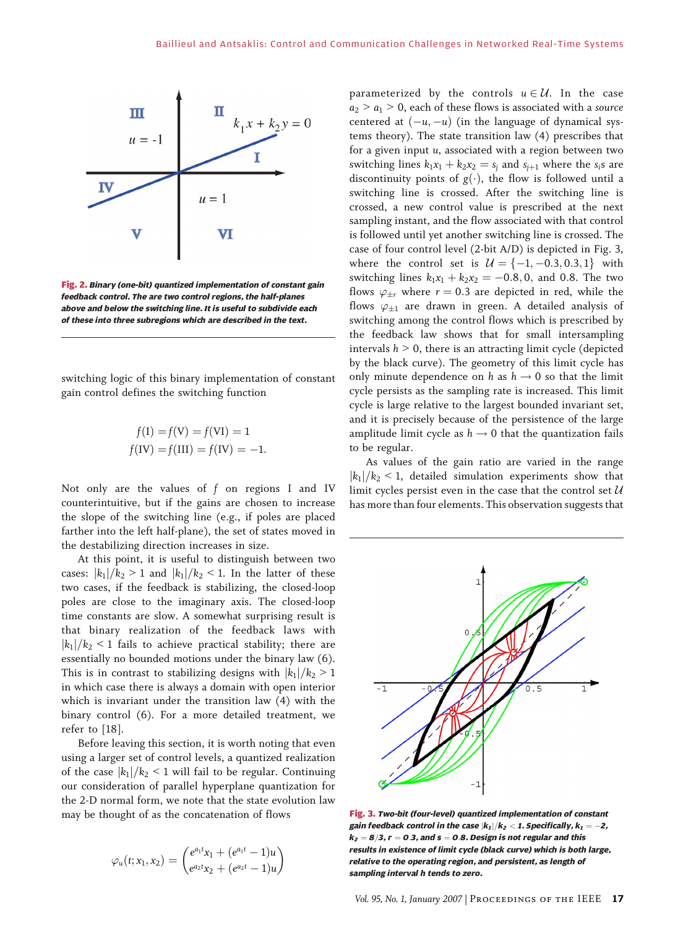

Fig. 2. Binary (one-bit) quantized implementation of constant gain feedback control. The are two control regions, the half-planes above and below the switching line. It is useful to subdivide each of these into three subregions which are described in the text.

switching logic of this binary implementation of constant gain control defines the switching function

$$
f(I) = f(V) = f(VI) = 1
$$
  

$$
f(IV) = f(III) = f(IV) = -1.
$$

Not only are the values of  $f$  on regions I and IV counterintuitive, but if the gains are chosen to increase the slope of the switching line (e.g., if poles are placed farther into the left half-plane), the set of states moved in the destabilizing direction increases in size.

At this point, it is useful to distinguish between two cases:  $|k_1|/k_2 > 1$  and  $|k_1|/k_2 < 1$ . In the latter of these two cases, if the feedback is stabilizing, the closed-loop poles are close to the imaginary axis. The closed-loop time constants are slow. A somewhat surprising result is that binary realization of the feedback laws with  $|k_1|/k_2 \leq 1$  fails to achieve practical stability; there are essentially no bounded motions under the binary law (6). This is in contrast to stabilizing designs with  $|k_1|/k_2 \geq 1$ in which case there is always a domain with open interior which is invariant under the transition law (4) with the binary control (6). For a more detailed treatment, we refer to [18].

Before leaving this section, it is worth noting that even using a larger set of control levels, a quantized realization of the case  $|k_1|/k_2 \leq 1$  will fail to be regular. Continuing our consideration of parallel hyperplane quantization for the 2-D normal form, we note that the state evolution law may be thought of as the concatenation of flows

$$
\varphi_u(t;x_1,x_2)=\begin{pmatrix}e^{a_1t}x_1+(e^{a_1t}-1)u\\e^{a_2t}x_2+(e^{a_2t}-1)u\end{pmatrix}
$$

parameterized by the controls  $u \in \mathcal{U}$ . In the case  $a_2 > a_1 > 0$ , each of these flows is associated with a source centered at  $(-u, -u)$  (in the language of dynamical systems theory). The state transition law (4) prescribes that for a given input u, associated with a region between two switching lines  $k_1x_1 + k_2x_2 = s_j$  and  $s_{j+1}$  where the  $s_is$  are discontinuity points of  $g(\cdot)$ , the flow is followed until a switching line is crossed. After the switching line is crossed, a new control value is prescribed at the next sampling instant, and the flow associated with that control is followed until yet another switching line is crossed. The case of four control level (2-bit A/D) is depicted in Fig. 3, where the control set is  $\mathcal{U} = \{-1, -0.3, 0.3, 1\}$  with switching lines  $k_1x_1 + k_2x_2 = -0.8, 0,$  and 0.8. The two flows  $\varphi_{\pm r}$  where  $r = 0.3$  are depicted in red, while the flows  $\varphi_{+1}$  are drawn in green. A detailed analysis of switching among the control flows which is prescribed by the feedback law shows that for small intersampling intervals  $h > 0$ , there is an attracting limit cycle (depicted by the black curve). The geometry of this limit cycle has only minute dependence on h as  $h \to 0$  so that the limit cycle persists as the sampling rate is increased. This limit cycle is large relative to the largest bounded invariant set, and it is precisely because of the persistence of the large amplitude limit cycle as  $h \rightarrow 0$  that the quantization fails to be regular.

As values of the gain ratio are varied in the range  $|k_1|/k_2 \leq 1$ , detailed simulation experiments show that limit cycles persist even in the case that the control set  $U$ has more than four elements. This observation suggests that



Fig. 3. Two-bit (four-level) quantized implementation of constant gain feedback control in the case  $|k_1|/k_2 < 1$ . Specifically,  $k_1 = -2$ ,  $k_2 = 8/3$ ,  $r = 0.3$ , and s = 0.8. Design is not regular and this results in existence of limit cycle (black curve) which is both large, relative to the operating region, and persistent, as length of sampling interval h tends to zero.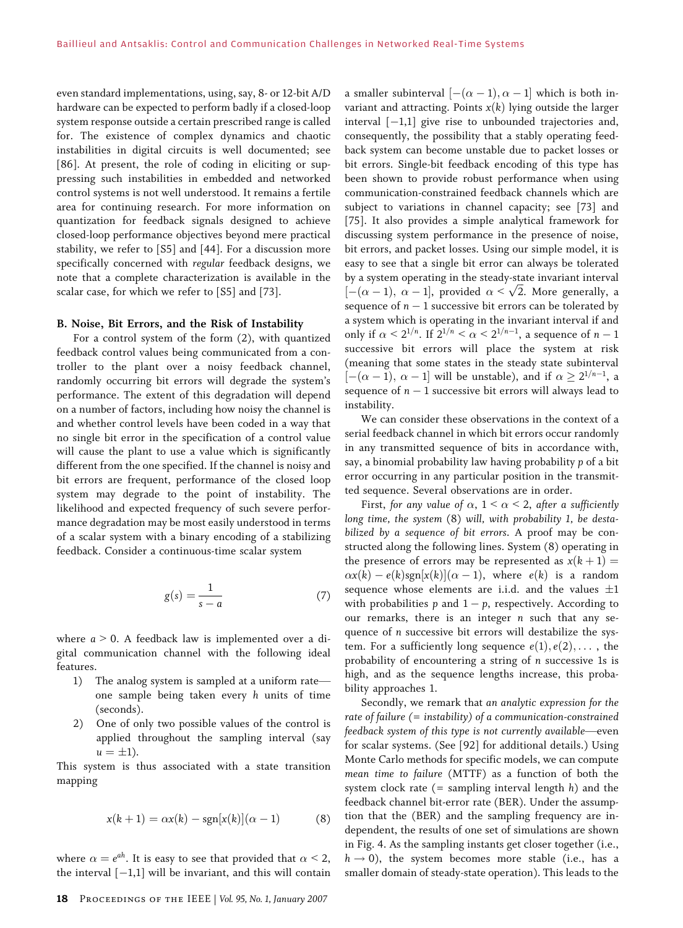even standard implementations, using, say, 8- or 12-bit A/D hardware can be expected to perform badly if a closed-loop system response outside a certain prescribed range is called for. The existence of complex dynamics and chaotic instabilities in digital circuits is well documented; see [86]. At present, the role of coding in eliciting or suppressing such instabilities in embedded and networked control systems is not well understood. It remains a fertile area for continuing research. For more information on quantization for feedback signals designed to achieve closed-loop performance objectives beyond mere practical stability, we refer to [S5] and [44]. For a discussion more specifically concerned with regular feedback designs, we note that a complete characterization is available in the scalar case, for which we refer to [S5] and [73].

#### B. Noise, Bit Errors, and the Risk of Instability

For a control system of the form (2), with quantized feedback control values being communicated from a controller to the plant over a noisy feedback channel, randomly occurring bit errors will degrade the system's performance. The extent of this degradation will depend on a number of factors, including how noisy the channel is and whether control levels have been coded in a way that no single bit error in the specification of a control value will cause the plant to use a value which is significantly different from the one specified. If the channel is noisy and bit errors are frequent, performance of the closed loop system may degrade to the point of instability. The likelihood and expected frequency of such severe performance degradation may be most easily understood in terms of a scalar system with a binary encoding of a stabilizing feedback. Consider a continuous-time scalar system

$$
g(s) = \frac{1}{s - a} \tag{7}
$$

where  $a > 0$ . A feedback law is implemented over a digital communication channel with the following ideal features.

- 1) The analog system is sampled at a uniform rateone sample being taken every h units of time (seconds).
- 2) One of only two possible values of the control is applied throughout the sampling interval (say  $u = \pm 1$ ).

This system is thus associated with a state transition mapping

$$
x(k+1) = \alpha x(k) - \text{sgn}[x(k)](\alpha - 1)
$$
 (8)

where  $\alpha = e^{ah}$ . It is easy to see that provided that  $\alpha < 2$ , the interval  $[-1,1]$  will be invariant, and this will contain

a smaller subinterval  $[-(\alpha - 1), \alpha - 1]$  which is both invariant and attracting. Points  $x(k)$  lying outside the larger interval  $[-1,1]$  give rise to unbounded trajectories and, consequently, the possibility that a stably operating feedback system can become unstable due to packet losses or bit errors. Single-bit feedback encoding of this type has been shown to provide robust performance when using communication-constrained feedback channels which are subject to variations in channel capacity; see [73] and [75]. It also provides a simple analytical framework for discussing system performance in the presence of noise, bit errors, and packet losses. Using our simple model, it is easy to see that a single bit error can always be tolerated by a system operating in the steady-state invariant interval by a system operating in the steady-state invariant interval<br> $[-(\alpha - 1), \ \alpha - 1]$ , provided  $\alpha < \sqrt{2}$ . More generally, a sequence of  $n - 1$  successive bit errors can be tolerated by a system which is operating in the invariant interval if and only if  $\alpha < 2^{1/n}$ . If  $2^{1/n} < \alpha < 2^{1/n-1}$ , a sequence of  $n-1$ successive bit errors will place the system at risk (meaning that some states in the steady state subinterval  $[-(\alpha - 1), \alpha - 1]$  will be unstable), and if  $\alpha \geq 2^{1/n-1}$ , a sequence of  $n - 1$  successive bit errors will always lead to instability.

We can consider these observations in the context of a serial feedback channel in which bit errors occur randomly in any transmitted sequence of bits in accordance with, say, a binomial probability law having probability p of a bit error occurring in any particular position in the transmitted sequence. Several observations are in order.

First, for any value of  $\alpha$ ,  $1 \le \alpha \le 2$ , after a sufficiently long time, the system (8) will, with probability 1, be destabilized by a sequence of bit errors. A proof may be constructed along the following lines. System (8) operating in the presence of errors may be represented as  $x(k + 1) =$  $\alpha x(k) - e(k)$ sgn $[x(k)](\alpha - 1)$ , where  $e(k)$  is a random sequence whose elements are i.i.d. and the values  $\pm 1$ with probabilities  $p$  and  $1 - p$ , respectively. According to our remarks, there is an integer n such that any sequence of n successive bit errors will destabilize the system. For a sufficiently long sequence  $e(1), e(2), \ldots$ , the probability of encountering a string of n successive 1s is high, and as the sequence lengths increase, this probability approaches 1.

Secondly, we remark that an analytic expression for the rate of failure (= instability) of a communication-constrained feedback system of this type is not currently available-even for scalar systems. (See [92] for additional details.) Using Monte Carlo methods for specific models, we can compute mean time to failure (MTTF) as a function of both the system clock rate  $(=$  sampling interval length  $h$ ) and the feedback channel bit-error rate (BER). Under the assumption that the (BER) and the sampling frequency are independent, the results of one set of simulations are shown in Fig. 4. As the sampling instants get closer together (i.e.,  $h \rightarrow 0$ ), the system becomes more stable (i.e., has a smaller domain of steady-state operation). This leads to the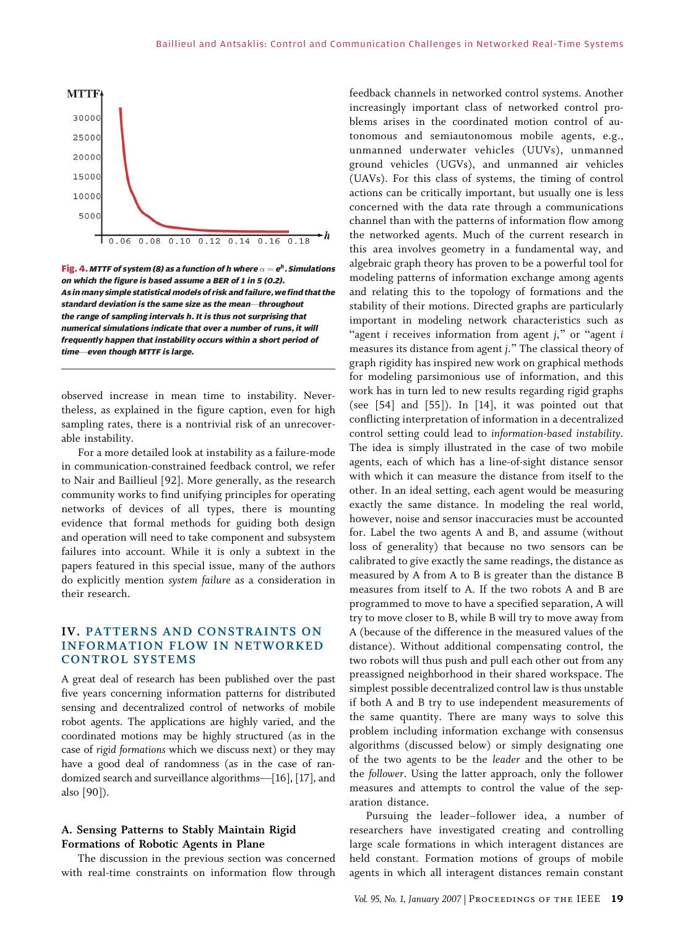

Fig. 4. MTTF of system (8) as a function of h where  $\alpha = e^{h}$ . Simulations on which the figure is based assume a BER of 1 in 5 (0.2). As in many simple statistical models of risk and failure, we find that the standard deviation is the same size as the mean-throughout the range of sampling intervals h. It is thus not surprising that numerical simulations indicate that over a number of runs, it will frequently happen that instability occurs within a short period of time-even though MTTF is large.

observed increase in mean time to instability. Nevertheless, as explained in the figure caption, even for high sampling rates, there is a nontrivial risk of an unrecoverable instability.

For a more detailed look at instability as a failure-mode in communication-constrained feedback control, we refer to Nair and Baillieul [92]. More generally, as the research community works to find unifying principles for operating networks of devices of all types, there is mounting evidence that formal methods for guiding both design and operation will need to take component and subsystem failures into account. While it is only a subtext in the papers featured in this special issue, many of the authors do explicitly mention system failure as a consideration in their research.

# IV. PATTERNS AND CONSTRAINTS ON INFORMATION FLOW IN NETWORKED CONTROL SYSTEMS

A great deal of research has been published over the past five years concerning information patterns for distributed sensing and decentralized control of networks of mobile robot agents. The applications are highly varied, and the coordinated motions may be highly structured (as in the case of rigid formations which we discuss next) or they may have a good deal of randomness (as in the case of randomized search and surveillance algorithms-[16], [17], and also [90]).

## A. Sensing Patterns to Stably Maintain Rigid Formations of Robotic Agents in Plane

The discussion in the previous section was concerned with real-time constraints on information flow through feedback channels in networked control systems. Another increasingly important class of networked control problems arises in the coordinated motion control of autonomous and semiautonomous mobile agents, e.g., unmanned underwater vehicles (UUVs), unmanned ground vehicles (UGVs), and unmanned air vehicles (UAVs). For this class of systems, the timing of control actions can be critically important, but usually one is less concerned with the data rate through a communications channel than with the patterns of information flow among the networked agents. Much of the current research in this area involves geometry in a fundamental way, and algebraic graph theory has proven to be a powerful tool for modeling patterns of information exchange among agents and relating this to the topology of formations and the stability of their motions. Directed graphs are particularly important in modeling network characteristics such as "agent i receives information from agent  $j$ ," or "agent  $i$ measures its distance from agent *j*." The classical theory of graph rigidity has inspired new work on graphical methods for modeling parsimonious use of information, and this work has in turn led to new results regarding rigid graphs (see [54] and [55]). In [14], it was pointed out that conflicting interpretation of information in a decentralized control setting could lead to information-based instability. The idea is simply illustrated in the case of two mobile agents, each of which has a line-of-sight distance sensor with which it can measure the distance from itself to the other. In an ideal setting, each agent would be measuring exactly the same distance. In modeling the real world, however, noise and sensor inaccuracies must be accounted for. Label the two agents A and B, and assume (without loss of generality) that because no two sensors can be calibrated to give exactly the same readings, the distance as measured by A from A to B is greater than the distance B measures from itself to A. If the two robots A and B are programmed to move to have a specified separation, A will try to move closer to B, while B will try to move away from A (because of the difference in the measured values of the distance). Without additional compensating control, the two robots will thus push and pull each other out from any preassigned neighborhood in their shared workspace. The simplest possible decentralized control law is thus unstable if both A and B try to use independent measurements of the same quantity. There are many ways to solve this problem including information exchange with consensus algorithms (discussed below) or simply designating one of the two agents to be the leader and the other to be the follower. Using the latter approach, only the follower measures and attempts to control the value of the separation distance.

Pursuing the leader–follower idea, a number of researchers have investigated creating and controlling large scale formations in which interagent distances are held constant. Formation motions of groups of mobile agents in which all interagent distances remain constant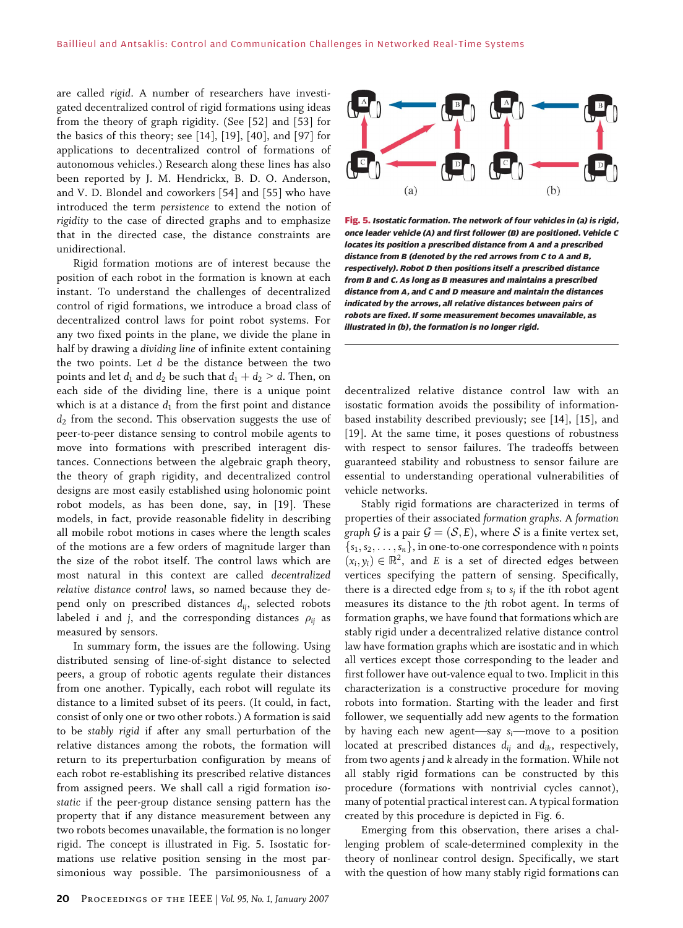are called rigid. A number of researchers have investigated decentralized control of rigid formations using ideas from the theory of graph rigidity. (See [52] and [53] for the basics of this theory; see [14], [19], [40], and [97] for applications to decentralized control of formations of autonomous vehicles.) Research along these lines has also been reported by J. M. Hendrickx, B. D. O. Anderson, and V. D. Blondel and coworkers [54] and [55] who have introduced the term persistence to extend the notion of rigidity to the case of directed graphs and to emphasize that in the directed case, the distance constraints are unidirectional.

Rigid formation motions are of interest because the position of each robot in the formation is known at each instant. To understand the challenges of decentralized control of rigid formations, we introduce a broad class of decentralized control laws for point robot systems. For any two fixed points in the plane, we divide the plane in half by drawing a dividing line of infinite extent containing the two points. Let d be the distance between the two points and let  $d_1$  and  $d_2$  be such that  $d_1 + d_2 > d$ . Then, on each side of the dividing line, there is a unique point which is at a distance  $d_1$  from the first point and distance  $d_2$  from the second. This observation suggests the use of peer-to-peer distance sensing to control mobile agents to move into formations with prescribed interagent distances. Connections between the algebraic graph theory, the theory of graph rigidity, and decentralized control designs are most easily established using holonomic point robot models, as has been done, say, in [19]. These models, in fact, provide reasonable fidelity in describing all mobile robot motions in cases where the length scales of the motions are a few orders of magnitude larger than the size of the robot itself. The control laws which are most natural in this context are called decentralized relative distance control laws, so named because they depend only on prescribed distances  $d_{ij}$ , selected robots labeled i and j, and the corresponding distances  $\rho_{ij}$  as measured by sensors.

In summary form, the issues are the following. Using distributed sensing of line-of-sight distance to selected peers, a group of robotic agents regulate their distances from one another. Typically, each robot will regulate its distance to a limited subset of its peers. (It could, in fact, consist of only one or two other robots.) A formation is said to be stably rigid if after any small perturbation of the relative distances among the robots, the formation will return to its preperturbation configuration by means of each robot re-establishing its prescribed relative distances from assigned peers. We shall call a rigid formation isostatic if the peer-group distance sensing pattern has the property that if any distance measurement between any two robots becomes unavailable, the formation is no longer rigid. The concept is illustrated in Fig. 5. Isostatic formations use relative position sensing in the most parsimonious way possible. The parsimoniousness of a



Fig. 5. Isostatic formation. The network of four vehicles in (a) is rigid, once leader vehicle (A) and first follower (B) are positioned. Vehicle C locates its position a prescribed distance from A and a prescribed distance from B (denoted by the red arrows from C to A and B, respectively). Robot D then positions itself a prescribed distance from B and C. As long as B measures and maintains a prescribed distance from A, and C and D measure and maintain the distances indicated by the arrows, all relative distances between pairs of robots are fixed. If some measurement becomes unavailable, as illustrated in (b), the formation is no longer rigid.

decentralized relative distance control law with an isostatic formation avoids the possibility of informationbased instability described previously; see [14], [15], and [19]. At the same time, it poses questions of robustness with respect to sensor failures. The tradeoffs between guaranteed stability and robustness to sensor failure are essential to understanding operational vulnerabilities of vehicle networks.

Stably rigid formations are characterized in terms of properties of their associated formation graphs. A formation graph G is a pair  $\mathcal{G} = (\mathcal{S}, E)$ , where S is a finite vertex set,  $\{s_1, s_2, \ldots, s_n\}$ , in one-to-one correspondence with *n* points  $(x_i, y_i) \in \mathbb{R}^2$ , and E is a set of directed edges between vertices specifying the pattern of sensing. Specifically, there is a directed edge from  $s_i$  to  $s_j$  if the ith robot agent measures its distance to the jth robot agent. In terms of formation graphs, we have found that formations which are stably rigid under a decentralized relative distance control law have formation graphs which are isostatic and in which all vertices except those corresponding to the leader and first follower have out-valence equal to two. Implicit in this characterization is a constructive procedure for moving robots into formation. Starting with the leader and first follower, we sequentially add new agents to the formation by having each new agent—say  $s_i$ —move to a position located at prescribed distances  $d_{ij}$  and  $d_{ik}$ , respectively, from two agents j and k already in the formation. While not all stably rigid formations can be constructed by this procedure (formations with nontrivial cycles cannot), many of potential practical interest can. A typical formation created by this procedure is depicted in Fig. 6.

Emerging from this observation, there arises a challenging problem of scale-determined complexity in the theory of nonlinear control design. Specifically, we start with the question of how many stably rigid formations can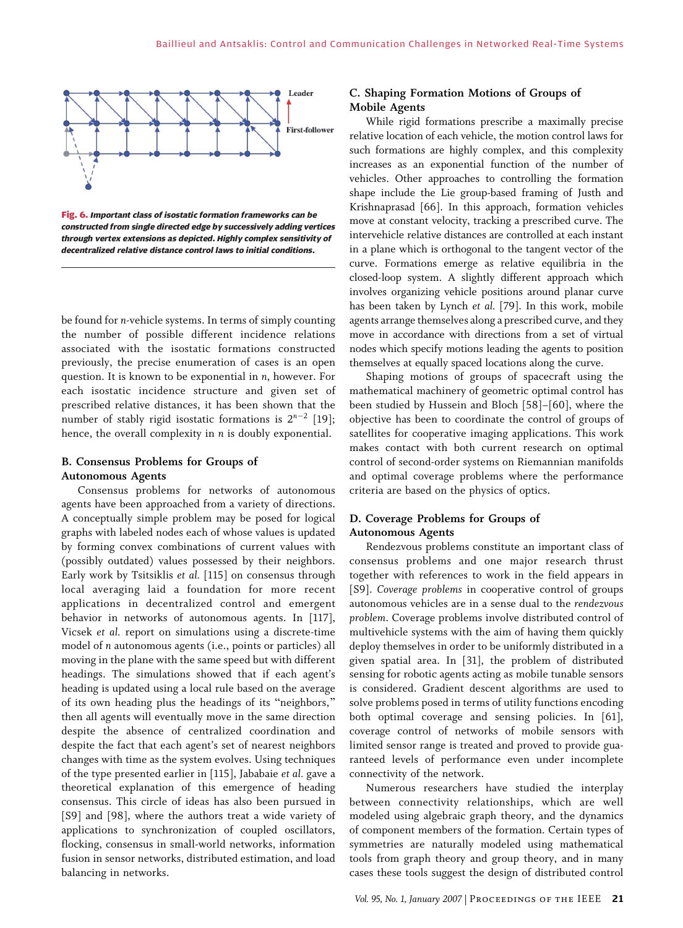

Fig. 6. Important class of isostatic formation frameworks can be constructed from single directed edge by successively adding vertices through vertex extensions as depicted. Highly complex sensitivity of decentralized relative distance control laws to initial conditions.

be found for n-vehicle systems. In terms of simply counting the number of possible different incidence relations associated with the isostatic formations constructed previously, the precise enumeration of cases is an open question. It is known to be exponential in n, however. For each isostatic incidence structure and given set of prescribed relative distances, it has been shown that the number of stably rigid isostatic formations is  $2^{n-2}$  [19]; hence, the overall complexity in  $n$  is doubly exponential.

## B. Consensus Problems for Groups of Autonomous Agents

Consensus problems for networks of autonomous agents have been approached from a variety of directions. A conceptually simple problem may be posed for logical graphs with labeled nodes each of whose values is updated by forming convex combinations of current values with (possibly outdated) values possessed by their neighbors. Early work by Tsitsiklis et al. [115] on consensus through local averaging laid a foundation for more recent applications in decentralized control and emergent behavior in networks of autonomous agents. In [117], Vicsek et al. report on simulations using a discrete-time model of n autonomous agents (i.e., points or particles) all moving in the plane with the same speed but with different headings. The simulations showed that if each agent's heading is updated using a local rule based on the average of its own heading plus the headings of its "neighbors," then all agents will eventually move in the same direction despite the absence of centralized coordination and despite the fact that each agent's set of nearest neighbors changes with time as the system evolves. Using techniques of the type presented earlier in [115], Jababaie et al. gave a theoretical explanation of this emergence of heading consensus. This circle of ideas has also been pursued in [S9] and [98], where the authors treat a wide variety of applications to synchronization of coupled oscillators, flocking, consensus in small-world networks, information fusion in sensor networks, distributed estimation, and load balancing in networks.

# C. Shaping Formation Motions of Groups of Mobile Agents

While rigid formations prescribe a maximally precise relative location of each vehicle, the motion control laws for such formations are highly complex, and this complexity increases as an exponential function of the number of vehicles. Other approaches to controlling the formation shape include the Lie group-based framing of Justh and Krishnaprasad [66]. In this approach, formation vehicles move at constant velocity, tracking a prescribed curve. The intervehicle relative distances are controlled at each instant in a plane which is orthogonal to the tangent vector of the curve. Formations emerge as relative equilibria in the closed-loop system. A slightly different approach which involves organizing vehicle positions around planar curve has been taken by Lynch et al. [79]. In this work, mobile agents arrange themselves along a prescribed curve, and they move in accordance with directions from a set of virtual nodes which specify motions leading the agents to position themselves at equally spaced locations along the curve.

Shaping motions of groups of spacecraft using the mathematical machinery of geometric optimal control has been studied by Hussein and Bloch [58]–[60], where the objective has been to coordinate the control of groups of satellites for cooperative imaging applications. This work makes contact with both current research on optimal control of second-order systems on Riemannian manifolds and optimal coverage problems where the performance criteria are based on the physics of optics.

# D. Coverage Problems for Groups of Autonomous Agents

Rendezvous problems constitute an important class of consensus problems and one major research thrust together with references to work in the field appears in [S9]. Coverage problems in cooperative control of groups autonomous vehicles are in a sense dual to the rendezvous problem. Coverage problems involve distributed control of multivehicle systems with the aim of having them quickly deploy themselves in order to be uniformly distributed in a given spatial area. In [31], the problem of distributed sensing for robotic agents acting as mobile tunable sensors is considered. Gradient descent algorithms are used to solve problems posed in terms of utility functions encoding both optimal coverage and sensing policies. In [61], coverage control of networks of mobile sensors with limited sensor range is treated and proved to provide guaranteed levels of performance even under incomplete connectivity of the network.

Numerous researchers have studied the interplay between connectivity relationships, which are well modeled using algebraic graph theory, and the dynamics of component members of the formation. Certain types of symmetries are naturally modeled using mathematical tools from graph theory and group theory, and in many cases these tools suggest the design of distributed control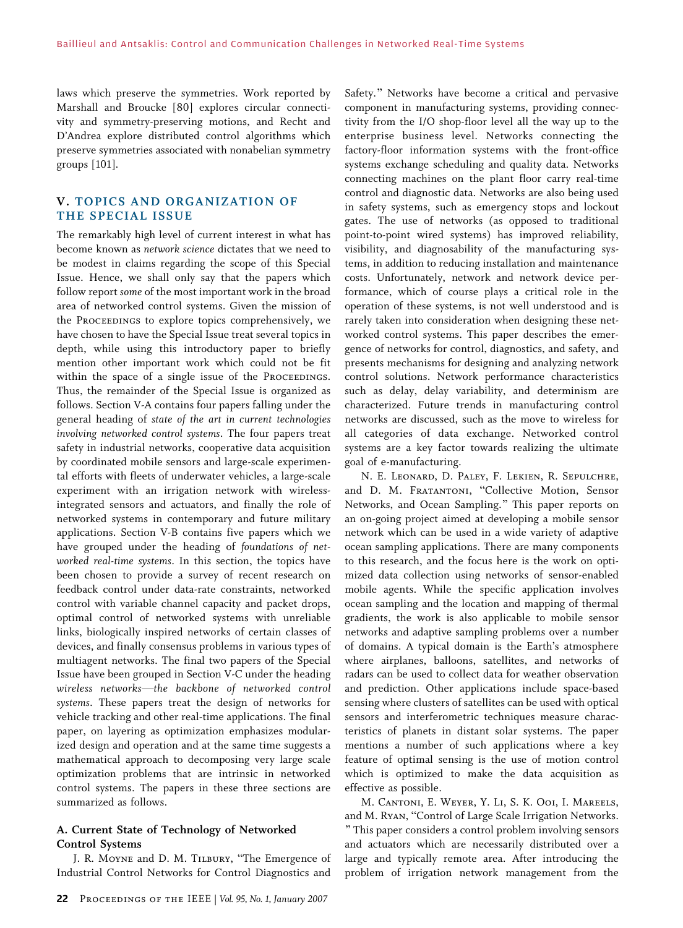laws which preserve the symmetries. Work reported by Marshall and Broucke [80] explores circular connectivity and symmetry-preserving motions, and Recht and D'Andrea explore distributed control algorithms which preserve symmetries associated with nonabelian symmetry groups [101].

# V. TOPICS AND ORGANIZATION OF THE SPECIAL ISSUE

The remarkably high level of current interest in what has become known as network science dictates that we need to be modest in claims regarding the scope of this Special Issue. Hence, we shall only say that the papers which follow report some of the most important work in the broad area of networked control systems. Given the mission of the PROCEEDINGS to explore topics comprehensively, we have chosen to have the Special Issue treat several topics in depth, while using this introductory paper to briefly mention other important work which could not be fit within the space of a single issue of the PROCEEDINGS. Thus, the remainder of the Special Issue is organized as follows. Section V-A contains four papers falling under the general heading of state of the art in current technologies involving networked control systems. The four papers treat safety in industrial networks, cooperative data acquisition by coordinated mobile sensors and large-scale experimental efforts with fleets of underwater vehicles, a large-scale experiment with an irrigation network with wirelessintegrated sensors and actuators, and finally the role of networked systems in contemporary and future military applications. Section V-B contains five papers which we have grouped under the heading of foundations of networked real-time systems. In this section, the topics have been chosen to provide a survey of recent research on feedback control under data-rate constraints, networked control with variable channel capacity and packet drops, optimal control of networked systems with unreliable links, biologically inspired networks of certain classes of devices, and finally consensus problems in various types of multiagent networks. The final two papers of the Special Issue have been grouped in Section V-C under the heading wireless networks—the backbone of networked control systems. These papers treat the design of networks for vehicle tracking and other real-time applications. The final paper, on layering as optimization emphasizes modularized design and operation and at the same time suggests a mathematical approach to decomposing very large scale optimization problems that are intrinsic in networked control systems. The papers in these three sections are summarized as follows.

## A. Current State of Technology of Networked Control Systems

J. R. MOYNE and D. M. TILBURY, "The Emergence of Industrial Control Networks for Control Diagnostics and

22 Proceedings of the IEEE | Vol. 95, No. 1, January 2007

Safety." Networks have become a critical and pervasive component in manufacturing systems, providing connectivity from the I/O shop-floor level all the way up to the enterprise business level. Networks connecting the factory-floor information systems with the front-office systems exchange scheduling and quality data. Networks connecting machines on the plant floor carry real-time control and diagnostic data. Networks are also being used in safety systems, such as emergency stops and lockout gates. The use of networks (as opposed to traditional point-to-point wired systems) has improved reliability, visibility, and diagnosability of the manufacturing systems, in addition to reducing installation and maintenance costs. Unfortunately, network and network device performance, which of course plays a critical role in the operation of these systems, is not well understood and is rarely taken into consideration when designing these networked control systems. This paper describes the emergence of networks for control, diagnostics, and safety, and presents mechanisms for designing and analyzing network control solutions. Network performance characteristics such as delay, delay variability, and determinism are characterized. Future trends in manufacturing control networks are discussed, such as the move to wireless for all categories of data exchange. Networked control systems are a key factor towards realizing the ultimate goal of e-manufacturing.

N. E. Leonard, D. Paley, F. Lekien, R. Sepulchre, and D. M. FRATANTONI, "Collective Motion, Sensor Networks, and Ocean Sampling." This paper reports on an on-going project aimed at developing a mobile sensor network which can be used in a wide variety of adaptive ocean sampling applications. There are many components to this research, and the focus here is the work on optimized data collection using networks of sensor-enabled mobile agents. While the specific application involves ocean sampling and the location and mapping of thermal gradients, the work is also applicable to mobile sensor networks and adaptive sampling problems over a number of domains. A typical domain is the Earth's atmosphere where airplanes, balloons, satellites, and networks of radars can be used to collect data for weather observation and prediction. Other applications include space-based sensing where clusters of satellites can be used with optical sensors and interferometric techniques measure characteristics of planets in distant solar systems. The paper mentions a number of such applications where a key feature of optimal sensing is the use of motion control which is optimized to make the data acquisition as effective as possible.

M. Cantoni, E. Weyer, Y. Li, S. K. Ooi, I. Mareels, and M. RYAN, "Control of Large Scale Irrigation Networks. [ This paper considers a control problem involving sensors and actuators which are necessarily distributed over a large and typically remote area. After introducing the problem of irrigation network management from the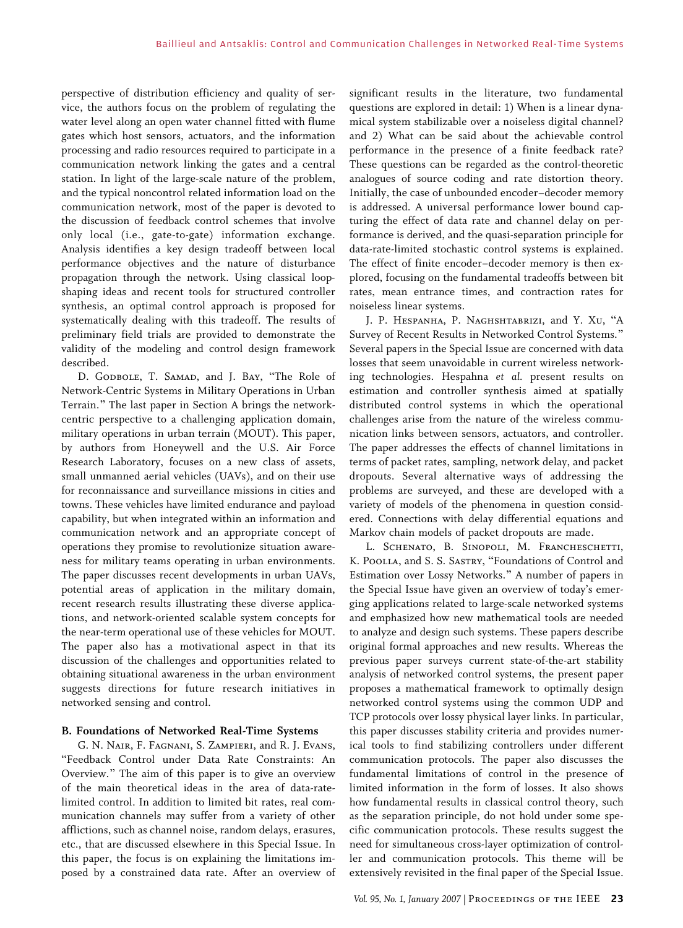perspective of distribution efficiency and quality of service, the authors focus on the problem of regulating the water level along an open water channel fitted with flume gates which host sensors, actuators, and the information processing and radio resources required to participate in a communication network linking the gates and a central station. In light of the large-scale nature of the problem, and the typical noncontrol related information load on the communication network, most of the paper is devoted to the discussion of feedback control schemes that involve only local (i.e., gate-to-gate) information exchange. Analysis identifies a key design tradeoff between local performance objectives and the nature of disturbance propagation through the network. Using classical loopshaping ideas and recent tools for structured controller synthesis, an optimal control approach is proposed for systematically dealing with this tradeoff. The results of preliminary field trials are provided to demonstrate the validity of the modeling and control design framework described.

D. GODBOLE, T. SAMAD, and J. BAY, "The Role of Network-Centric Systems in Military Operations in Urban Terrain." The last paper in Section A brings the networkcentric perspective to a challenging application domain, military operations in urban terrain (MOUT). This paper, by authors from Honeywell and the U.S. Air Force Research Laboratory, focuses on a new class of assets, small unmanned aerial vehicles (UAVs), and on their use for reconnaissance and surveillance missions in cities and towns. These vehicles have limited endurance and payload capability, but when integrated within an information and communication network and an appropriate concept of operations they promise to revolutionize situation awareness for military teams operating in urban environments. The paper discusses recent developments in urban UAVs, potential areas of application in the military domain, recent research results illustrating these diverse applications, and network-oriented scalable system concepts for the near-term operational use of these vehicles for MOUT. The paper also has a motivational aspect in that its discussion of the challenges and opportunities related to obtaining situational awareness in the urban environment suggests directions for future research initiatives in networked sensing and control.

#### B. Foundations of Networked Real-Time Systems

G. N. Nair, F. Fagnani, S. Zampieri, and R. J. Evans, "Feedback Control under Data Rate Constraints: An Overview." The aim of this paper is to give an overview of the main theoretical ideas in the area of data-ratelimited control. In addition to limited bit rates, real communication channels may suffer from a variety of other afflictions, such as channel noise, random delays, erasures, etc., that are discussed elsewhere in this Special Issue. In this paper, the focus is on explaining the limitations imposed by a constrained data rate. After an overview of significant results in the literature, two fundamental questions are explored in detail: 1) When is a linear dynamical system stabilizable over a noiseless digital channel? and 2) What can be said about the achievable control performance in the presence of a finite feedback rate? These questions can be regarded as the control-theoretic analogues of source coding and rate distortion theory. Initially, the case of unbounded encoder–decoder memory is addressed. A universal performance lower bound capturing the effect of data rate and channel delay on performance is derived, and the quasi-separation principle for data-rate-limited stochastic control systems is explained. The effect of finite encoder–decoder memory is then explored, focusing on the fundamental tradeoffs between bit rates, mean entrance times, and contraction rates for noiseless linear systems.

J. P. HESPANHA, P. NAGHSHTABRIZI, and Y. Xu, "A Survey of Recent Results in Networked Control Systems." Several papers in the Special Issue are concerned with data losses that seem unavoidable in current wireless networking technologies. Hespahna et al. present results on estimation and controller synthesis aimed at spatially distributed control systems in which the operational challenges arise from the nature of the wireless communication links between sensors, actuators, and controller. The paper addresses the effects of channel limitations in terms of packet rates, sampling, network delay, and packet dropouts. Several alternative ways of addressing the problems are surveyed, and these are developed with a variety of models of the phenomena in question considered. Connections with delay differential equations and Markov chain models of packet dropouts are made.

L. SCHENATO, B. SINOPOLI, M. FRANCHESCHETTI, K. POOLLA, and S. S. SASTRY, "Foundations of Control and Estimation over Lossy Networks." A number of papers in the Special Issue have given an overview of today's emerging applications related to large-scale networked systems and emphasized how new mathematical tools are needed to analyze and design such systems. These papers describe original formal approaches and new results. Whereas the previous paper surveys current state-of-the-art stability analysis of networked control systems, the present paper proposes a mathematical framework to optimally design networked control systems using the common UDP and TCP protocols over lossy physical layer links. In particular, this paper discusses stability criteria and provides numerical tools to find stabilizing controllers under different communication protocols. The paper also discusses the fundamental limitations of control in the presence of limited information in the form of losses. It also shows how fundamental results in classical control theory, such as the separation principle, do not hold under some specific communication protocols. These results suggest the need for simultaneous cross-layer optimization of controller and communication protocols. This theme will be extensively revisited in the final paper of the Special Issue.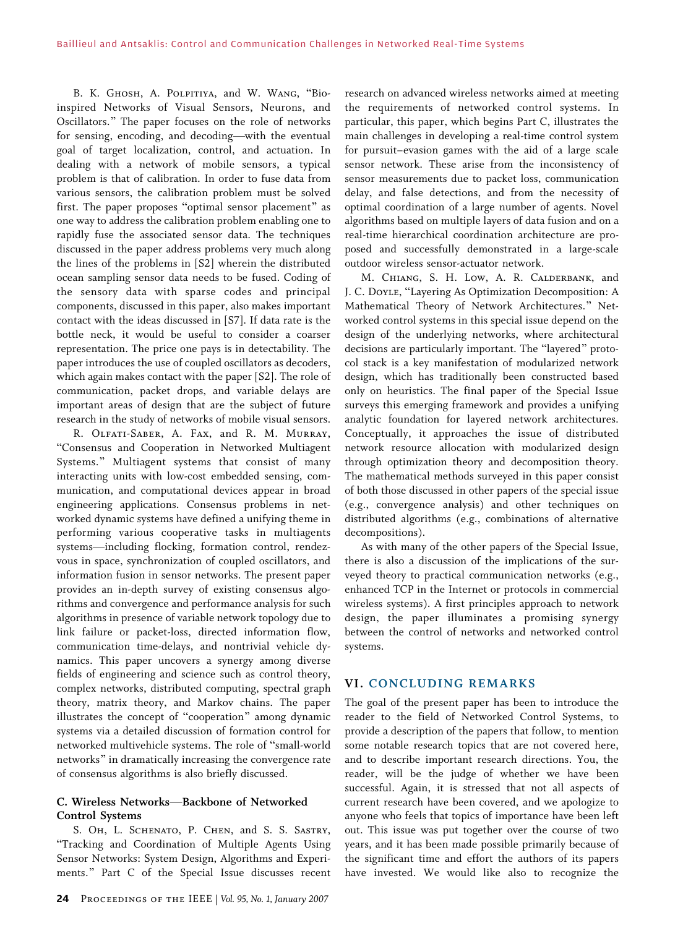B. K. GHOSH, A. POLPITIYA, and W. WANG, "Bioinspired Networks of Visual Sensors, Neurons, and Oscillators." The paper focuses on the role of networks for sensing, encoding, and decoding-with the eventual goal of target localization, control, and actuation. In dealing with a network of mobile sensors, a typical problem is that of calibration. In order to fuse data from various sensors, the calibration problem must be solved first. The paper proposes "optimal sensor placement" as one way to address the calibration problem enabling one to rapidly fuse the associated sensor data. The techniques discussed in the paper address problems very much along the lines of the problems in [S2] wherein the distributed ocean sampling sensor data needs to be fused. Coding of the sensory data with sparse codes and principal components, discussed in this paper, also makes important contact with the ideas discussed in [S7]. If data rate is the bottle neck, it would be useful to consider a coarser representation. The price one pays is in detectability. The paper introduces the use of coupled oscillators as decoders, which again makes contact with the paper [S2]. The role of communication, packet drops, and variable delays are important areas of design that are the subject of future research in the study of networks of mobile visual sensors.

R. Olfati-Saber, A. Fax, and R. M. Murray, "Consensus and Cooperation in Networked Multiagent Systems." Multiagent systems that consist of many interacting units with low-cost embedded sensing, communication, and computational devices appear in broad engineering applications. Consensus problems in networked dynamic systems have defined a unifying theme in performing various cooperative tasks in multiagents systems-including flocking, formation control, rendezvous in space, synchronization of coupled oscillators, and information fusion in sensor networks. The present paper provides an in-depth survey of existing consensus algorithms and convergence and performance analysis for such algorithms in presence of variable network topology due to link failure or packet-loss, directed information flow, communication time-delays, and nontrivial vehicle dynamics. This paper uncovers a synergy among diverse fields of engineering and science such as control theory, complex networks, distributed computing, spectral graph theory, matrix theory, and Markov chains. The paper illustrates the concept of "cooperation" among dynamic systems via a detailed discussion of formation control for networked multivehicle systems. The role of "small-world networks" in dramatically increasing the convergence rate of consensus algorithms is also briefly discussed.

## C. Wireless Networks-Backbone of Networked Control Systems

S. Oh, L. SCHENATO, P. CHEN, and S. S. SASTRY, "Tracking and Coordination of Multiple Agents Using Sensor Networks: System Design, Algorithms and Experiments." Part C of the Special Issue discusses recent

24 Proceedings of the IEEE | Vol. 95, No. 1, January 2007

research on advanced wireless networks aimed at meeting the requirements of networked control systems. In particular, this paper, which begins Part C, illustrates the main challenges in developing a real-time control system for pursuit–evasion games with the aid of a large scale sensor network. These arise from the inconsistency of sensor measurements due to packet loss, communication delay, and false detections, and from the necessity of optimal coordination of a large number of agents. Novel algorithms based on multiple layers of data fusion and on a real-time hierarchical coordination architecture are proposed and successfully demonstrated in a large-scale outdoor wireless sensor-actuator network.

M. Chiang, S. H. Low, A. R. Calderbank, and J. C. Doyle, "Layering As Optimization Decomposition: A Mathematical Theory of Network Architectures." Networked control systems in this special issue depend on the design of the underlying networks, where architectural decisions are particularly important. The "layered" protocol stack is a key manifestation of modularized network design, which has traditionally been constructed based only on heuristics. The final paper of the Special Issue surveys this emerging framework and provides a unifying analytic foundation for layered network architectures. Conceptually, it approaches the issue of distributed network resource allocation with modularized design through optimization theory and decomposition theory. The mathematical methods surveyed in this paper consist of both those discussed in other papers of the special issue (e.g., convergence analysis) and other techniques on distributed algorithms (e.g., combinations of alternative decompositions).

As with many of the other papers of the Special Issue, there is also a discussion of the implications of the surveyed theory to practical communication networks (e.g., enhanced TCP in the Internet or protocols in commercial wireless systems). A first principles approach to network design, the paper illuminates a promising synergy between the control of networks and networked control systems.

## VI. CONCLUDING REMARKS

The goal of the present paper has been to introduce the reader to the field of Networked Control Systems, to provide a description of the papers that follow, to mention some notable research topics that are not covered here, and to describe important research directions. You, the reader, will be the judge of whether we have been successful. Again, it is stressed that not all aspects of current research have been covered, and we apologize to anyone who feels that topics of importance have been left out. This issue was put together over the course of two years, and it has been made possible primarily because of the significant time and effort the authors of its papers have invested. We would like also to recognize the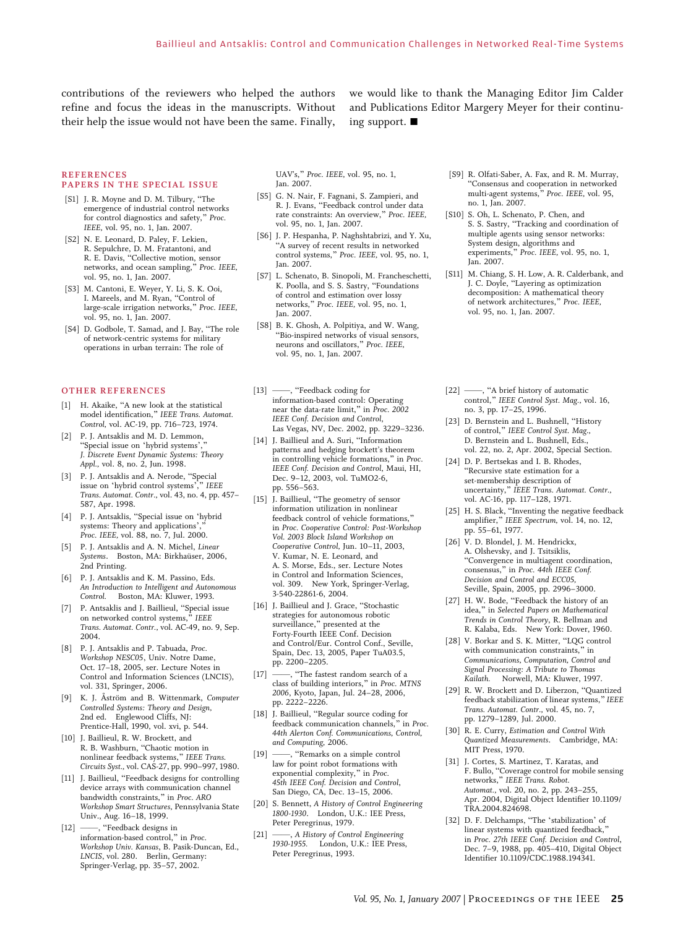contributions of the reviewers who helped the authors refine and focus the ideas in the manuscripts. Without their help the issue would not have been the same. Finally,

we would like to thank the Managing Editor Jim Calder and Publications Editor Margery Meyer for their continuing support.  $\blacksquare$ 

#### REFERENCES PAPERS IN THE SPECIAL ISSUE

- [S1] J. R. Moyne and D. M. Tilbury, "The emergence of industrial control networks for control diagnostics and safety," Proc. IEEE, vol. 95, no. 1, Jan. 2007.
- [S2] N. E. Leonard, D. Paley, F. Lekien, R. Sepulchre, D. M. Fratantoni, and R. E. Davis, "Collective motion, sensor networks, and ocean sampling," Proc. IEEE, vol. 95, no. 1, Jan. 2007.
- [S3] M. Cantoni, E. Weyer, Y. Li, S. K. Ooi, I. Mareels, and M. Ryan, "Control of large-scale irrigation networks," Proc. IEEE, vol. 95, no. 1, Jan. 2007.
- [S4] D. Godbole, T. Samad, and J. Bay, "The role of network-centric systems for military operations in urban terrain: The role of

#### OTHER REFERENCES

- [1] H. Akaike, "A new look at the statistical model identification," IEEE Trans. Automat. Control, vol. AC-19, pp. 716–723, 1974.
- [2] P. J. Antsaklis and M. D. Lemmon, "Special issue on 'hybrid systems' J. Discrete Event Dynamic Systems: Theory Appl., vol. 8, no. 2, Jun. 1998.
- [3] P. J. Antsaklis and A. Nerode, "Special issue on 'hybrid control systems'," IEEE Trans. Automat. Contr., vol. 43, no. 4, pp. 457– 587, Apr. 1998.
- [4] P. J. Antsaklis, "Special issue on 'hybrid systems: Theory and applications\_,[ Proc. IEEE, vol. 88, no. 7, Jul. 2000.
- [5] P. J. Antsaklis and A. N. Michel, Linear Systems. Boston, MA: Birkhaüser, 2006, 2nd Printing.
- [6] P. J. Antsaklis and K. M. Passino, Eds. An Introduction to Intelligent and Autonomous Control. Boston, MA: Kluwer, 1993.
- [7] P. Antsaklis and J. Baillieul, "Special issue<br>on networked control systems," IEEE Trans. Automat. Contr., vol. AC-49, no. 9, Sep. 2004.
- [8] P. J. Antsaklis and P. Tabuada, Proc. Workshop NESC05, Univ. Notre Dame, Oct. 17–18, 2005, ser. Lecture Notes in Control and Information Sciences (LNCIS), vol. 331, Springer, 2006.
- [9] K. J. Åström and B. Wittenmark, Computer Controlled Systems: Theory and Design, 2nd ed. Englewood Cliffs, NJ: Prentice-Hall, 1990, vol. xvi, p. 544.
- [10] J. Baillieul, R. W. Brockett, and R. B. Washburn, "Chaotic motion in nonlinear feedback systems," IEEE Trans. Circuits Syst., vol. CAS-27, pp. 990–997, 1980.
- [11] J. Baillieul, "Feedback designs for controlling device arrays with communication channel bandwidth constraints," in Proc. ARO Workshop Smart Structures, Pennsylvania State Univ., Aug. 16–18, 1999.
- [12] —, "Feedback designs in<br>information-based control," in Proc. Workshop Univ. Kansas, B. Pasik-Duncan, Ed., LNCIS, vol. 280. Berlin, Germany: Springer-Verlag, pp. 35–57, 2002.

UAV's," Proc. IEEE, vol. 95, no. 1, Jan. 2007.

- [S5] G. N. Nair, F. Fagnani, S. Zampieri, and R. J. Evans, "Feedback control under data rate constraints: An overview," Proc. IEEE, vol. 95, no. 1, Jan. 2007.
- [S6] J. P. Hespanha, P. Naghshtabrizi, and Y. Xu, 'A survey of recent results in networked control systems," Proc. IEEE, vol. 95, no. 1, Jan. 2007.
- [S7] L. Schenato, B. Sinopoli, M. Francheschetti, K. Poolla, and S. S. Sastry, "Foundations of control and estimation over lossy networks," Proc. IEEE, vol. 95, no. 1, Jan. 2007.
- [S8] B. K. Ghosh, A. Polpitiya, and W. Wang, "Bio-inspired networks of visual sensors,<br>neurons and oscillators," Proc. IEEE, vol. 95, no. 1, Jan. 2007.
- [13]  $\longrightarrow$ , "Feedback coding for information-based control: Operating near the data-rate limit," in Proc.  $2002$ IEEE Conf. Decision and Control, Las Vegas, NV, Dec. 2002, pp. 3229–3236.
- [14] J. Baillieul and A. Suri, "Information patterns and hedging brockett's theorem in controlling vehicle formations," in Proc. IEEE Conf. Decision and Control, Maui, HI, Dec. 9–12, 2003, vol. TuMO2-6, pp. 556–563.
- [15] J. Baillieul, "The geometry of sensor information utilization in nonlinear feedback control of vehicle formations," in Proc. Cooperative Control: Post-Workshop Vol. 2003 Block Island Workshop on Cooperative Control, Jun. 10–11, 2003, V. Kumar, N. E. Leonard, and A. S. Morse, Eds., ser. Lecture Notes in Control and Information Sciences, vol. 309. New York, Springer-Verlag, 3-540-22861-6, 2004.
- [16] J. Baillieul and J. Grace, "Stochastic strategies for autonomous robotic surveillance," presented at the Forty-Fourth IEEE Conf. Decision and Control/Eur. Control Conf., Seville, Spain, Dec. 13, 2005, Paper TuA03.5, pp. 2200–2205.
- [17]  $\longrightarrow$ , "The fastest random search of a class of building interiors," in Proc. MTNS 2006, Kyoto, Japan, Jul. 24–28, 2006, pp. 2222–2226.
- [18] J. Baillieul, "Regular source coding for<br>feedback communication channels," in Proc. feedback communication channels,' 44th Alerton Conf. Communications, Control, and Computing, 2006.
- [19]  $\longrightarrow$ , "Remarks on a simple control law for point robot formations with exponential complexity," in Proc. 45th IEEE Conf. Decision and Control, San Diego, CA, Dec. 13–15, 2006.
- [20] S. Bennett, A History of Control Engineering 1800-1930. London, U.K.: IEE Press, Peter Peregrinus, 1979.
- [21]  $\longrightarrow$ , A History of Control Engineering 1930-1955. London, U.K.: IEE Press, Peter Peregrinus, 1993.
- [S9] R. Olfati-Saber, A. Fax, and R. M. Murray, "Consensus and cooperation in networked multi-agent systems," Proc. IEEE, vol. 95, no. 1, Jan. 2007.
- [S10] S. Oh, L. Schenato, P. Chen, and S. S. Sastry, "Tracking and coordination of multiple agents using sensor networks: System design, algorithms and<br>experiments," Proc. IEEE, vol. 95, no. 1, Jan. 2007.
- [S11] M. Chiang, S. H. Low, A. R. Calderbank, and J. C. Doyle, "Layering as optimization decomposition: A mathematical theory of network architectures," Proc. IEEE, vol. 95, no. 1, Jan. 2007.
- [22]  $\frac{1}{\sqrt{2}}$ , "A brief history of automatic control," IEEE Control Syst. Mag., vol. 16, no. 3, pp. 17–25, 1996.
- [23] D. Bernstein and L. Bushnell, "History of control," IEEE Control Syst. Mag., D. Bernstein and L. Bushnell, Eds. vol. 22, no. 2, Apr. 2002, Special Section.
- [24] D. P. Bertsekas and I. B. Rhodes, "Recursive state estimation for a set-membership description of uncertainty," IEEE Trans. Automat. Contr., vol. AC-16, pp. 117–128, 1971.
- [25] H. S. Black, "Inventing the negative feedback amplifier," IEEE Spectrum, vol. 14, no. 12, pp. 55–61, 1977.
- [26] V. D. Blondel, J. M. Hendrickx, A. Olshevsky, and J. Tsitsiklis, "Convergence in multiagent coordination, consensus," in Proc. 44th IEEE Conf. Decision and Control and ECC05, Seville, Spain, 2005, pp. 2996–3000.
- [27] H. W. Bode, "Feedback the history of an idea," in Selected Papers on Mathematical Trends in Control Theory, R. Bellman and R. Kalaba, Eds. New York: Dover, 1960.
- [28] V. Borkar and S. K. Mitter, "LQG control with communication constraints," in Communications, Computation, Control and Signal Processing: A Tribute to Thomas Kailath. Norwell, MA: Kluwer, 1997.
- [29] R. W. Brockett and D. Liberzon, "Quantized feedback stabilization of linear systems," IEEE Trans. Automat. Contr., vol. 45, no. 7, pp. 1279–1289, Jul. 2000.
- [30] R. E. Curry, Estimation and Control With Quantized Measurements. Cambridge, MA: MIT Press, 1970.
- [31] J. Cortes, S. Martinez, T. Karatas, and F. Bullo, "Coverage control for mobile sensing networks," IEEE Trans. Robot. Automat., vol. 20, no. 2, pp. 243–255, Apr. 2004, Digital Object Identifier 10.1109/ TRA.2004.824698.
- [32] D. F. Delchamps, "The 'stabilization' of linear systems with quantized feedback," in Proc. 27th IEEE Conf. Decision and Control, Dec. 7–9, 1988, pp. 405–410, Digital Object Identifier 10.1109/CDC.1988.194341.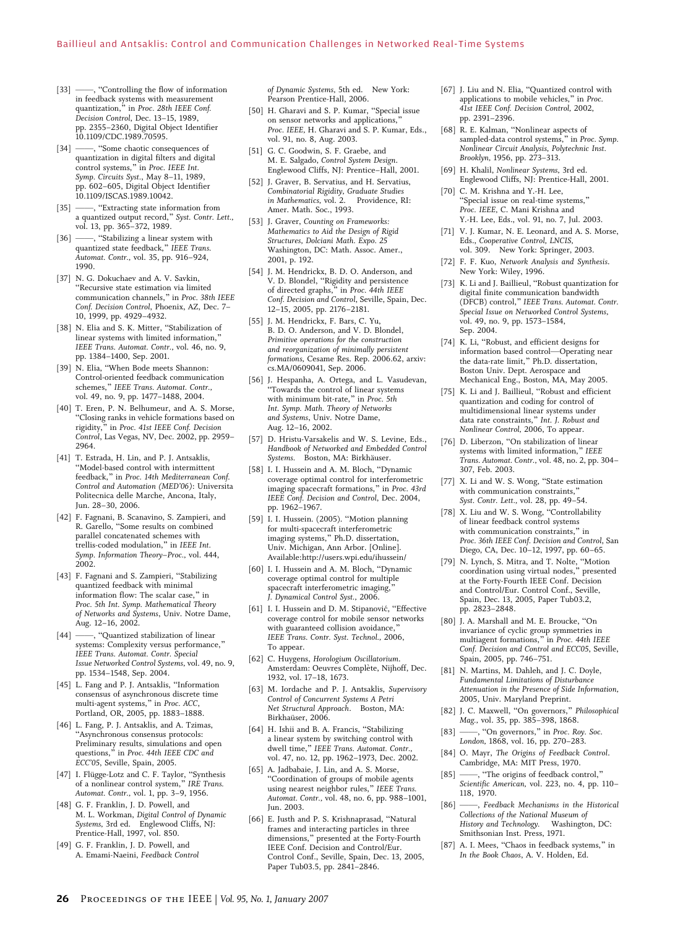- [33]  $\longrightarrow$ , "Controlling the flow of information in feedback systems with measurement<br>quantization," in Proc. 28th IEEE Conf. Decision Control, Dec. 13–15, 1989, pp. 2355–2360, Digital Object Identifier 10.1109/CDC.1989.70595.
- [34]  $\longrightarrow$ , "Some chaotic consequences of quantization in digital filters and digital control systems," in Proc. IEEE Int. Symp. Circuits Syst., May 8–11, 1989, pp. 602–605, Digital Object Identifier pp. 002-003, 2-3---<br>10.1109/ISCAS.1989.10042.
- $[35]$   $\longrightarrow$ , "Extracting state information from a quantized output record," *Syst. Contr. Lett.,*<br>vol. 13, pp. 365–372, 1989.
- [36]  $\longrightarrow$ , "Stabilizing a linear system with quantized state feedback," IEEE Trans. Automat. Contr., vol. 35, pp. 916–924, 1990.
- [37] N. G. Dokuchaev and A. V. Savkin, "Recursive state estimation via limited communication channels," in Proc. 38th IEEE Conf. Decision Control, Phoenix, AZ, Dec. 7– 10, 1999, pp. 4929–4932.
- [38] N. Elia and S. K. Mitter, "Stabilization of linear systems with limited information,' IEEE Trans. Automat. Contr., vol. 46, no. 9, pp. 1384–1400, Sep. 2001.
- [39] N. Elia, "When Bode meets Shannon: Control-oriented feedback communication schemes," IEEE Trans. Automat. Contr., vol. 49, no. 9, pp. 1477–1488, 2004.
- [40] T. Eren, P. N. Belhumeur, and A. S. Morse, "Closing ranks in vehicle formations based on<br>rigidity," in Proc. 41st IEEE Conf. Decision rigidity,[ in Proc. 41st IEEE Conf. Decision Control, Las Vegas, NV, Dec. 2002, pp. 2959– 2964.
- [41] T. Estrada, H. Lin, and P. J. Antsaklis, "Model-based control with intermittent feedback," in Proc. 14th Mediterranean Conf. Control and Automation (MED'06): Universita Politecnica delle Marche, Ancona, Italy, Jun. 28–30, 2006.
- [42] F. Fagnani, B. Scanavino, S. Zampieri, and R. Garello, "Some results on combined parallel concatenated schemes with trellis-coded modulation,[ in IEEE Int. Symp. Information Theory–Proc., vol. 444, 2002.
- [43] F. Fagnani and S. Zampieri, "Stabilizing quantized feedback with minimal  $\widehat{\text{information flow:}}$  <br> The scalar case," in Proc. 5th Int. Symp. Mathematical Theory of Networks and Systems, Univ. Notre Dame, Aug. 12–16, 2002.
- [44]  $\longrightarrow$ , "Quantized stabilization of linear systems: Complexity versus performance," IEEE Trans. Automat. Contr. Special Issue Networked Control Systems, vol. 49, no. 9, pp. 1534–1548, Sep. 2004.
- [45] L. Fang and P. J. Antsaklis, "Information consensus of asynchronous discrete time multi-agent systems," in Proc. ACC, Portland, OR, 2005, pp. 1883–1888.
- [46] L. Fang, P. J. Antsaklis, and A. Tzimas, "Asynchronous consensus protocols: Preliminary results, simulations and open<br>questions," in *Proc. 44th IEEE CDC and* ECC'05, Seville, Spain, 2005.
- [47] I. Flügge-Lotz and C. F. Taylor, "Synthesis of a nonlinear control system," IRE Trans. Automat. Contr., vol. 1, pp. 3–9, 1956.
- [48] G. F. Franklin, J. D. Powell, and M. L. Workman, Digital Control of Dynamic Systems, 3rd ed. Englewood Cliffs, NJ: Prentice-Hall, 1997, vol. 850.
- [49] G. F. Franklin, J. D. Powell, and A. Emami-Naeini, Feedback Control

of Dynamic Systems, 5th ed. New York: Pearson Prentice-Hall, 2006.

- [50] H. Gharavi and S. P. Kumar, "Special issue on sensor networks and applications,' Proc. IEEE, H. Gharavi and S. P. Kumar, Eds., vol. 91, no. 8, Aug. 2003.
- [51] G. C. Goodwin, S. F. Graebe, and M. E. Salgado, Control System Design. Englewood Cliffs, NJ: Prentice–Hall, 2001.
- [52] J. Graver, B. Servatius, and H. Servatius, Combinatorial Rigidity, Graduate Studies in Mathematics, vol. 2. Providence, RI: Amer. Math. Soc., 1993.
- [53] J. Graver, Counting on Frameworks: Mathematics to Aid the Design of Rigid Structures, Dolciani Math. Expo. 25 Washington, DC: Math. Assoc. Amer., 2001, p. 192.
- [54] J. M. Hendrickx, B. D. O. Anderson, and V. D. Blondel, "Rigidity and persistence<br>of directed graphs," in Proc. 44th IEEE<br>Conf. Decision and Control, Seville, Spain, Dec. 12–15, 2005, pp. 2176–2181.
- [55] J. M. Hendrickx, F. Bars, C. Yu, B. D. O. Anderson, and V. D. Blondel, Primitive operations for the construction and reorganization of minimally persistent formations, Cesame Res. Rep. 2006.62, arxiv: cs.MA/0609041, Sep. 2006.
- [56] J. Hespanha, A. Ortega, and L. Vasudevan, "Towards the control of linear systems with minimum bit-rate," in Proc. 5th Int. Symp. Math. Theory of Networks and Systems, Univ. Notre Dame, Aug. 12–16, 2002.
- [57] D. Hristu-Varsakelis and W. S. Levine, Eds., Handbook of Networked and Embedded Control Systems. Boston, MA: Birkhäuser.
- [58] I. I. Hussein and A. M. Bloch, "Dynamic coverage optimal control for interferometric imaging spacecraft formations," in Proc. 43rd IEEE Conf. Decision and Control, Dec. 2004, pp. 1962–1967.
- [59] I. I. Hussein. (2005). "Motion planning for multi-spacecraft interferometric imaging systems," Ph.D. dissertation, Univ. Michigan, Ann Arbor. [Online]. Available:http://users.wpi.edu/ihussein/.
- [60] I. I. Hussein and A. M. Bloch, "Dynamic coverage optimal control for multiple spacecraft interferometric imaging, J. Dynamical Control Syst., 2006.
- [61] I. I. Hussein and D. M. Stipanović, "Effective coverage control for mobile sensor networks with guaranteed collision avoidance, IEEE Trans. Contr. Syst. Technol., 2006, To appear.
- [62] C. Huygens, Horologium Oscillatorium. Amsterdam: Oeuvres Complète, Nijhoff, Dec. 1932, vol. 17–18, 1673.
- [63] M. Iordache and P. J. Antsaklis, Supervisory Control of Concurrent Systems A Petri Net Structural Approach. Boston, MA: Birkhaüser, 2006.
- [64] H. Ishii and B. A. Francis, "Stabilizing a linear system by switching control with dwell time," IEEE Trans. Automat. Contr., vol. 47, no. 12, pp. 1962–1973, Dec. 2002.
- [65] A. Jadbabaie, J. Lin, and A. S. Morse, 'Coordination of groups of mobile agents using nearest neighbor rules," IEEE Trans. Automat. Contr., vol. 48, no. 6, pp. 988–1001, Jun. 2003.
- [66] E. Justh and P. S. Krishnaprasad, "Natural frames and interacting particles in three dimensions," presented at the Forty-Fourth IEEE Conf. Decision and Control/Eur. Control Conf., Seville, Spain, Dec. 13, 2005, Paper Tub03.5, pp. 2841–2846.
- [67] J. Liu and N. Elia, "Quantized control with applications to mobile vehicles," in Proc. 41st IEEE Conf. Decision Control, 2002, pp. 2391–2396.
- [68] R. E. Kalman, "Nonlinear aspects of sampled-data control systems," in Proc. Symp. Nonlinear Circuit Analysis, Polytechnic Inst. Brooklyn, 1956, pp. 273–313.
- [69] H. Khalil, Nonlinear Systems, 3rd ed. Englewood Cliffs, NJ: Prentice-Hall, 2001.
- [70] C. M. Krishna and Y.-H. Lee, "Special issue on real-time systems," Proc. IEEE, C. Mani Krishna and Y.-H. Lee, Eds., vol. 91, no. 7, Jul. 2003.
- [71] V. J. Kumar, N. E. Leonard, and A. S. Morse, Eds., Cooperative Control, LNCIS, vol. 309. New York: Springer, 2003.
- [72] F. F. Kuo, Network Analysis and Synthesis. New York: Wiley, 1996.
- [73] K. Li and J. Baillieul, "Robust quantization for digital finite communication bandwidth (DFCB) control," IEEE Trans. Automat. Contr. Special Issue on Networked Control Systems, vol. 49, no. 9, pp. 1573–1584, Sep. 2004.
- [74] K. Li, "Robust, and efficient designs for information based control—Operating near the data-rate limit," Ph.D. dissertation, Boston Univ. Dept. Aerospace and Mechanical Eng., Boston, MA, May 2005.
- [75] K. Li and J. Baillieul, "Robust and efficient quantization and coding for control of multidimensional linear systems under data rate constraints," Int. J. Robust and Nonlinear Control, 2006, To appear.
- [76] D. Liberzon, "On stabilization of linear systems with limited information," IEEE Trans. Automat. Contr., vol. 48, no. 2, pp. 304– 307, Feb. 2003.
- [77] X. Li and W. S. Wong, "State estimation with communication constraints, Syst. Contr. Lett., vol. 28, pp. 49–54.
- [78] X. Liu and W. S. Wong, "Controllability of linear feedback control systems with communication constraints," in Proc. 36th IEEE Conf. Decision and Control, San Diego, CA, Dec. 10–12, 1997, pp. 60–65.
- [79] N. Lynch, S. Mitra, and T. Nolte, "Motion coordination using virtual nodes," presented at the Forty-Fourth IEEE Conf. Decision and Control/Eur. Control Conf., Seville, Spain, Dec. 13, 2005, Paper Tub03.2, pp. 2823–2848.
- [80] J. A. Marshall and M. E. Broucke, "On invariance of cyclic group symmetries in multiagent formations," in Proc. 44th IEEE Conf. Decision and Control and ECC05, Seville, Spain, 2005, pp. 746–751.
- [81] N. Martins, M. Dahleh, and J. C. Doyle, Fundamental Limitations of Disturbance Attenuation in the Presence of Side Information, 2005, Univ. Maryland Preprint.
- [82] J. C. Maxwell, "On governors," Philosophical<br>Mag., vol. 35, pp. 385–398, 1868.
- $[83]$   $\longrightarrow$ , "On governors," in Proc. Roy. Soc. London, 1868, vol. 16, pp. 270–283.
- [84] O. Mayr, The Origins of Feedback Control. Cambridge, MA: MIT Press, 1970.
- [85]  $\longrightarrow$ , "The origins of feedback control," Scientific American, vol. 223, no. 4, pp. 110– 118, 1970.
- $[86]$   $\longrightarrow$ , Feedback Mechanisms in the Historical Collections of the National Museum of<br>History and Technology. Washington, DC: History and Technology. Smithsonian Inst. Press, 1971.
- [87] A. I. Mees, "Chaos in feedback systems," in In the Book Chaos, A. V. Holden, Ed.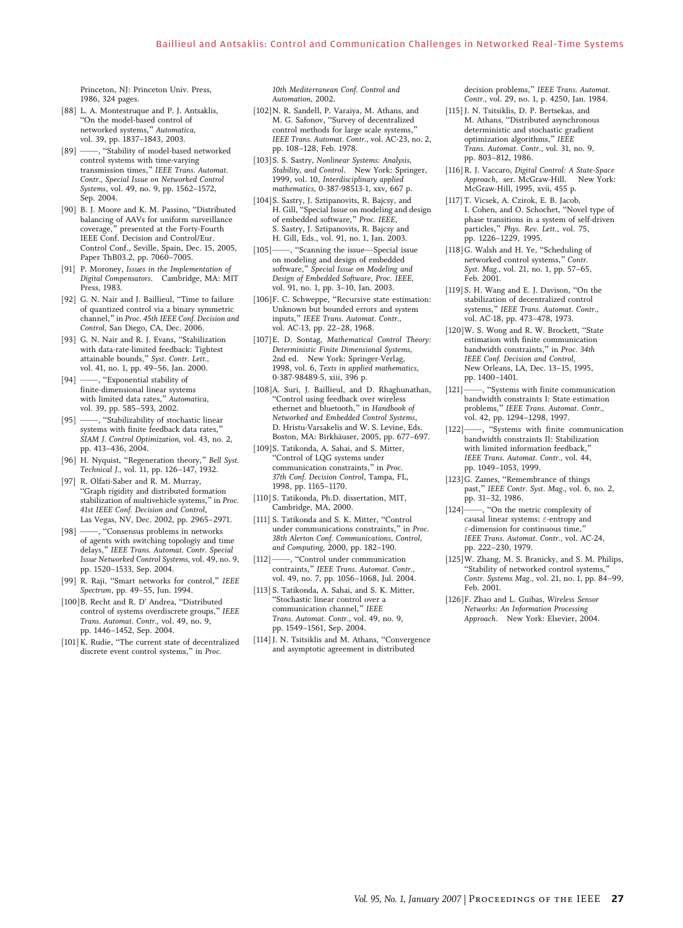Princeton, NJ: Princeton Univ. Press, 1986, 324 pages.

- [88] L. A. Montestruque and P. J. Antsaklis, "On the model-based control of networked systems," Automatica, vol. 39, pp. 1837–1843, 2003.
- [89]  $\longrightarrow$ , "Stability of model-based networked control systems with time-varying transmission times," IEEE Trans. Automat. Contr., Special Issue on Networked Control Systems, vol. 49, no. 9, pp. 1562–1572, Sep. 2004.
- [90] B. J. Moore and K. M. Passino, "Distributed balancing of AAVs for uniform surveillance coverage,[ presented at the Forty-Fourth IEEE Conf. Decision and Control/Eur. Control Conf., Seville, Spain, Dec. 15, 2005, Paper ThB03.2, pp. 7060-7005.
- [91] P. Moroney, Issues in the Implementation of Digital Compensators. Cambridge, MA: MIT Press, 1983.
- [92] G. N. Nair and J. Baillieul, "Time to failure of quantized control via a binary symmetric channel," in Proc. 45th IEEE Conf. Decision and Control, San Diego, CA, Dec. 2006.
- [93] G. N. Nair and R. J. Evans, "Stabilization with data-rate-limited feedback: Tightest attainable bounds," Syst. Contr. Lett., vol. 41, no. 1, pp. 49–56, Jan. 2000.
- [94]  $\longrightarrow$ , "Exponential stability of finite-dimensional linear systems with limited data rates," Automatica, vol. 39, pp. 585–593, 2002.
- [95] -, "Stabilizability of stochastic linear systems with finite feedback data rates, SIAM J. Control Optimization, vol. 43, no. 2, pp. 413–436, 2004.
- [96] H. Nyquist, "Regeneration theory," Bell Syst. Technical J., vol. 11, pp. 126–147, 1932.
- [97] R. Olfati-Saber and R. M. Murray, "Graph rigidity and distributed formation stabilization of multivehicle systems," in Proc. 41st IEEE Conf. Decision and Control, Las Vegas, NV, Dec. 2002, pp. 2965–2971.
- [98]  $\longrightarrow$ , "Consensus problems in networks of agents with switching topologiy and time delays," IEEE Trans. Automat. Contr. Special Issue Networked Control Systems, vol. 49, no. 9, pp. 1520–1533, Sep. 2004.
- [99] R. Raji, "Smart networks for control," IEEE Spectrum, pp. 49–55, Jun. 1994.
- [100]B. Recht and R. D' Andrea, "Distributed control of systems overdiscrete groups," IEEE Trans. Automat. Contr., vol. 49, no. 9, pp. 1446–1452, Sep. 2004.
- [101] K. Rudie, "The current state of decentralized discrete event control systems," in Proc.

10th Mediterranean Conf. Control and Automation, 2002.

- [102]N. R. Sandell, P. Varaiya, M. Athans, and M. G. Safonov, "Survey of decentralized control methods for large scale systems,[ IEEE Trans. Automat. Contr., vol. AC-23, no. 2, pp. 108–128, Feb. 1978.
- [103]S. S. Sastry, Nonlinear Systems: Analysis, Stability, and Control. New York: Springer, 1999, vol. 10, Interdisciplinary applied mathematics, 0-387-98513-1, xxv, 667 p.
- [104]S. Sastry, J. Sztipanovits, R. Bajcsy, and<br>H. Gill, "Special Issue on modeling and design of embedded software," Proc. IEEE, S. Sastry, J. Sztipanovits, R. Bajcsy and H. Gill, Eds., vol. 91, no. 1, Jan. 2003.
- [105]-, "Scanning the issue-Special issue on modeling and design of embedded software," Special Issue on Modeling and Design of Embedded Software, Proc. IEEE, vol. 91, no. 1, pp. 3–10, Jan. 2003.
- [106]F. C. Schweppe, "Recursive state estimation: Unknown but bounded errors and system inputs," IEEE Trans. Automat. Contr., vol. AC-13, pp. 22–28, 1968.
- [107]E. D. Sontag, Mathematical Control Theory: Deterministic Finite Dimensional Systems, 2nd ed. New York: Springer-Verlag, 1998, vol. 6, Texts in applied mathematics, 0-387-98489-5, xiii, 396 p.
- [108]A. Suri, J. Baillieul, and D. Rhaghunathan, "Control using feedback over wireless ethernet and bluetooth," in Handbook of<br>Networked and Embedded Control Systems, D. Hristu-Varsakelis and W. S. Levine, Eds. Boston, MA: Birkhäuser, 2005, pp. 677-697.
- [109]S. Tatikonda, A. Sahai, and S. Mitter, 'Control of LQG systems under communication constraints," in Proc. 37th Conf. Decision Control, Tampa, FL, 1998, pp. 1165–1170.
- [110] S. Tatikonda, Ph.D. dissertation, MIT, Cambridge, MA, 2000.
- [111] S. Tatikonda and S. K. Mitter, "Control under communications constraints," in Proc. 38th Alerton Conf. Communications, Control, and Computing, 2000, pp. 182–190.
- [112] "Control under communication" contraints," IEEE Trans. Automat. Contr., vol. 49, no. 7, pp. 1056–1068, Jul. 2004.
- [113] S. Tatikonda, A. Sahai, and S. K. Mitter, "Stochastic linear control over a communication channel," IEEE Trans. Automat. Contr., vol. 49, no. 9, pp. 1549–1561, Sep. 2004.
- [114] J. N. Tsitsiklis and M. Athans, "Convergence and asymptotic agreement in distributed

decision problems," IEEE Trans. Automat. Contr., vol. 29, no. 1, p. 4250, Jan. 1984.

- [115] J. N. Tsitsiklis, D. P. Bertsekas, and M. Athans, "Distributed asynchronous deterministic and stochastic gradient optimization algorithms," IEEE Trans. Automat. Contr., vol. 31, no. 9, pp. 803–812, 1986.
- [116] R. J. Vaccaro, Digital Control: A State-Space Approach, ser. McGraw-Hill. New York: McGraw-Hill, 1995, xvii, 455 p.
- [117] T. Vicsek, A. Czirok, E. B. Jacob, I. Cohen, and O. Schochet, "Novel type of phase transitions in a system of self-driven particles," Phys. Rev. Lett., vol. 75, pp. 1226–1229, 1995.
- [118] G. Walsh and H. Ye, "Scheduling of networked control systems," Contr. Syst. Mag., vol. 21, no. 1, pp. 57–65, Feb. 2001.
- $\left[119\right]$  S. H. Wang and E. J. Davison, "On the stabilization of decentralized control systems," IEEE Trans. Automat. Contr., vol. AC-18, pp. 473–478, 1973.
- [120]W. S. Wong and R. W. Brockett, "State estimation with finite communication bandwidth constraints," in Proc. 34th IEEE Conf. Decision and Control, New Orleans, LA, Dec. 13–15, 1995, pp. 1400–1401.
- [121] -, "Systems with finite communication" bandwidth constraints I: State estimation problems," IEEE Trans. Automat. Contr., vol. 42, pp. 1294–1298, 1997.
- -, "Systems with finite communication bandwidth constraints II: Stabilization with limited information feedback,' IEEE Trans. Automat. Contr., vol. 44, pp. 1049–1053, 1999.
- [123] G. Zames, "Remembrance of things past," IEEE Contr. Syst. Mag., vol. 6, no. 2, pp. 31–32, 1986.
- [124]-, "On the metric complexity of causal linear systems:  $\varepsilon$ -entropy and  $\varepsilon$ -dimension for continuous time,' IEEE Trans. Automat. Contr., vol. AC-24, pp. 222–230, 1979.
- [125]W. Zhang, M. S. Branicky, and S. M. Philips, "Stability of networked control systems, Contr. Systems Mag., vol. 21, no. 1, pp. 84–99, Feb. 2001.
- [126]F. Zhao and L. Guibas, Wireless Sensor Networks: An Information Processing Approach. New York: Elsevier, 2004.